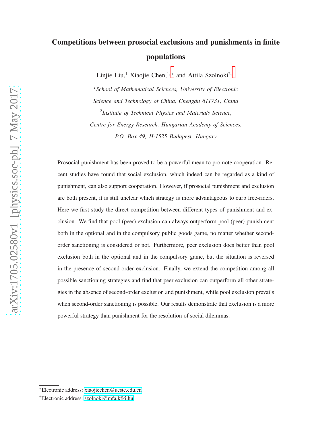# Competitions between prosocial exclusions and punishments in finite populations

Linjie Liu,<sup>1</sup> Xiaojie Chen,<sup>1,[∗](#page-0-0)</sup> and Attila Szolnoki<sup>2,[†](#page-0-1)</sup>

*<sup>1</sup>School of Mathematical Sciences, University of Electronic Science and Technology of China, Chengdu 611731, China 2 Institute of Technical Physics and Materials Science, Centre for Energy Research, Hungarian Academy of Sciences, P.O. Box 49, H-1525 Budapest, Hungary*

Prosocial punishment has been proved to be a powerful mean to promote cooperation. Recent studies have found that social exclusion, which indeed can be regarded as a kind of punishment, can also support cooperation. However, if prosocial punishment and exclusion are both present, it is still unclear which strategy is more advantageous to curb free-riders. Here we first study the direct competition between different types of punishment and exclusion. We find that pool (peer) exclusion can always outperform pool (peer) punishment both in the optional and in the compulsory public goods game, no matter whether secondorder sanctioning is considered or not. Furthermore, peer exclusion does better than pool exclusion both in the optional and in the compulsory game, but the situation is reversed in the presence of second-order exclusion. Finally, we extend the competition among all possible sanctioning strategies and find that peer exclusion can outperform all other strategies in the absence of second-order exclusion and punishment, while pool exclusion prevails when second-order sanctioning is possible. Our results demonstrate that exclusion is a more powerful strategy than punishment for the resolution of social dilemmas.

<span id="page-0-1"></span><span id="page-0-0"></span><sup>∗</sup>Electronic address: [xiaojiechen@uestc.edu.cn](mailto:xiaojiechen@uestc.edu.cn)

<sup>†</sup>Electronic address: [szolnoki@mfa.kfki.hu](mailto:szolnoki@mfa.kfki.hu)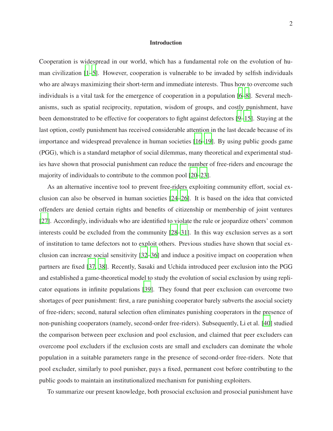## Introduction

Cooperation is widespread in our world, which has a fundamental role on the evolution of human civilization [\[1](#page-10-0)[–5\]](#page-11-0). However, cooperation is vulnerable to be invaded by selfish individuals who are always maximizing their short-term and immediate interests. Thus how to overcome such individuals is a vital task for the emergence of cooperation in a population [\[6](#page-11-1)[–8\]](#page-11-2). Several mechanisms, such as spatial reciprocity, reputation, wisdom of groups, and costly punishment, have been demonstrated to be effective for cooperators to fight against defectors [\[9](#page-11-3)[–15](#page-11-4)]. Staying at the last option, costly punishment has received considerable attention in the last decade because of its importance and widespread prevalence in human societies [\[16](#page-11-5)[–19\]](#page-11-6). By using public goods game (PGG), which is a standard metaphor of social dilemmas, many theoretical and experimental studies have shown that prosocial punishment can reduce the number of free-riders and encourage the majority of individuals to contribute to the common pool [\[20](#page-11-7)[–23\]](#page-12-0).

As an alternative incentive tool to prevent free-riders exploiting community effort, social exclusion can also be observed in human societies [\[24](#page-12-1)[–26\]](#page-12-2). It is based on the idea that convicted offenders are denied certain rights and benefits of citizenship or membership of joint ventures [\[27\]](#page-12-3). Accordingly, individuals who are identified to violate the rule or jeopardize others' common interests could be excluded from the community [\[28](#page-12-4)[–31\]](#page-12-5). In this way exclusion serves as a sort of institution to tame defectors not to exploit others. Previous studies have shown that social exclusion can increase social sensitivity [\[32](#page-12-6)[–36](#page-12-7)] and induce a positive impact on cooperation when partners are fixed [\[37,](#page-13-0) [38](#page-13-1)]. Recently, Sasaki and Uchida introduced peer exclusion into the PGG and established a game-theoretical model to study the evolution of social exclusion by using replicator equations in infinite populations [\[39](#page-13-2)]. They found that peer exclusion can overcome two shortages of peer punishment: first, a rare punishing cooperator barely subverts the asocial society of free-riders; second, natural selection often eliminates punishing cooperators in the presence of non-punishing cooperators (namely, second-order free-riders). Subsequently, Li et al. [\[40](#page-13-3)] studied the comparison between peer exclusion and pool exclusion, and claimed that peer excluders can overcome pool excluders if the exclusion costs are small and excluders can dominate the whole population in a suitable parameters range in the presence of second-order free-riders. Note that pool excluder, similarly to pool punisher, pays a fixed, permanent cost before contributing to the public goods to maintain an institutionalized mechanism for punishing exploiters.

To summarize our present knowledge, both prosocial exclusion and prosocial punishment have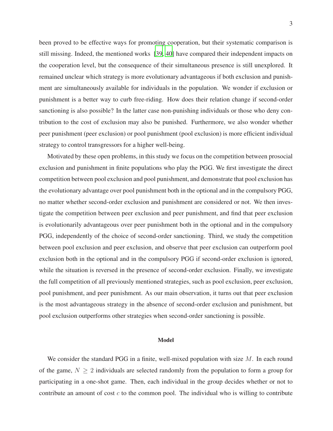been proved to be effective ways for promoting cooperation, but their systematic comparison is still missing. Indeed, the mentioned works [\[39,](#page-13-2) [40\]](#page-13-3) have compared their independent impacts on the cooperation level, but the consequence of their simultaneous presence is still unexplored. It remained unclear which strategy is more evolutionary advantageous if both exclusion and punishment are simultaneously available for individuals in the population. We wonder if exclusion or punishment is a better way to curb free-riding. How does their relation change if second-order sanctioning is also possible? In the latter case non-punishing individuals or those who deny contribution to the cost of exclusion may also be punished. Furthermore, we also wonder whether peer punishment (peer exclusion) or pool punishment (pool exclusion) is more efficient individual strategy to control transgressors for a higher well-being.

Motivated by these open problems, in this study we focus on the competition between prosocial exclusion and punishment in finite populations who play the PGG. We first investigate the direct competition between pool exclusion and pool punishment, and demonstrate that pool exclusion has the evolutionary advantage over pool punishment both in the optional and in the compulsory PGG, no matter whether second-order exclusion and punishment are considered or not. We then investigate the competition between peer exclusion and peer punishment, and find that peer exclusion is evolutionarily advantageous over peer punishment both in the optional and in the compulsory PGG, independently of the choice of second-order sanctioning. Third, we study the competition between pool exclusion and peer exclusion, and observe that peer exclusion can outperform pool exclusion both in the optional and in the compulsory PGG if second-order exclusion is ignored, while the situation is reversed in the presence of second-order exclusion. Finally, we investigate the full competition of all previously mentioned strategies, such as pool exclusion, peer exclusion, pool punishment, and peer punishment. As our main observation, it turns out that peer exclusion is the most advantageous strategy in the absence of second-order exclusion and punishment, but pool exclusion outperforms other strategies when second-order sanctioning is possible.

#### Model

We consider the standard PGG in a finite, well-mixed population with size  $M$ . In each round of the game,  $N \geq 2$  individuals are selected randomly from the population to form a group for participating in a one-shot game. Then, each individual in the group decides whether or not to contribute an amount of cost  $c$  to the common pool. The individual who is willing to contribute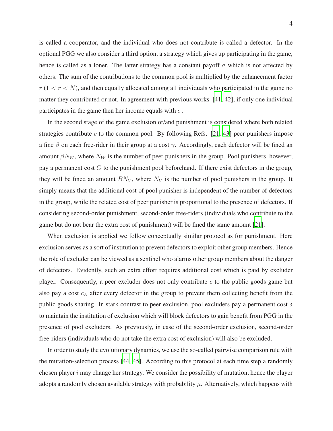is called a cooperator, and the individual who does not contribute is called a defector. In the optional PGG we also consider a third option, a strategy which gives up participating in the game, hence is called as a loner. The latter strategy has a constant payoff  $\sigma$  which is not affected by others. The sum of the contributions to the common pool is multiplied by the enhancement factor  $r (1 < r < N)$ , and then equally allocated among all individuals who participated in the game no matter they contributed or not. In agreement with previous works [\[41,](#page-13-4) [42\]](#page-42-0), if only one individual participates in the game then her income equals with  $\sigma$ .

In the second stage of the game exclusion or/and punishment is considered where both related strategies contribute c to the common pool. By following Refs. [\[21](#page-11-8), [43](#page-13-5)] peer punishers impose a fine  $\beta$  on each free-rider in their group at a cost  $\gamma$ . Accordingly, each defector will be fined an amount  $\beta N_W$ , where  $N_W$  is the number of peer punishers in the group. Pool punishers, however, pay a permanent cost  $G$  to the punishment pool beforehand. If there exist defectors in the group, they will be fined an amount  $BN_V$ , where  $N_V$  is the number of pool punishers in the group. It simply means that the additional cost of pool punisher is independent of the number of defectors in the group, while the related cost of peer punisher is proportional to the presence of defectors. If considering second-order punishment, second-order free-riders (individuals who contribute to the game but do not bear the extra cost of punishment) will be fined the same amount [\[21\]](#page-11-8).

When exclusion is applied we follow conceptually similar protocol as for punishment. Here exclusion serves as a sort of institution to prevent defectors to exploit other group members. Hence the role of excluder can be viewed as a sentinel who alarms other group members about the danger of defectors. Evidently, such an extra effort requires additional cost which is paid by excluder player. Consequently, a peer excluder does not only contribute  $c$  to the public goods game but also pay a cost  $c_E$  after every defector in the group to prevent them collecting benefit from the public goods sharing. In stark contrast to peer exclusion, pool excluders pay a permanent cost  $\delta$ to maintain the institution of exclusion which will block defectors to gain benefit from PGG in the presence of pool excluders. As previously, in case of the second-order exclusion, second-order free-riders (individuals who do not take the extra cost of exclusion) will also be excluded.

In order to study the evolutionary dynamics, we use the so-called pairwise comparison rule with the mutation-selection process [\[44,](#page-13-6) [45](#page-13-7)]. According to this protocol at each time step a randomly chosen player  $i$  may change her strategy. We consider the possibility of mutation, hence the player adopts a randomly chosen available strategy with probability  $\mu$ . Alternatively, which happens with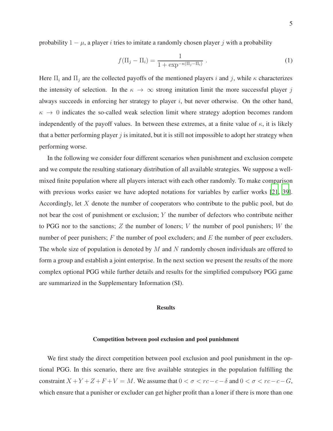probability  $1 - \mu$ , a player *i* tries to imitate a randomly chosen player *j* with a probability

$$
f(\Pi_j - \Pi_i) = \frac{1}{1 + \exp^{-\kappa(\Pi_j - \Pi_i)}}.
$$
\n(1)

Here  $\Pi_i$  and  $\Pi_j$  are the collected payoffs of the mentioned players i and j, while  $\kappa$  characterizes the intensity of selection. In the  $\kappa \to \infty$  strong imitation limit the more successful player j always succeeds in enforcing her strategy to player  $i$ , but never otherwise. On the other hand,  $\kappa \to 0$  indicates the so-called weak selection limit where strategy adoption becomes random independently of the payoff values. In between these extremes, at a finite value of  $\kappa$ , it is likely that a better performing player  $j$  is imitated, but it is still not impossible to adopt her strategy when performing worse.

In the following we consider four different scenarios when punishment and exclusion compete and we compute the resulting stationary distribution of all available strategies. We suppose a wellmixed finite population where all players interact with each other randomly. To make comparison with previous works easier we have adopted notations for variables by earlier works [\[21,](#page-11-8) [39](#page-13-2)]. Accordingly, let X denote the number of cooperators who contribute to the public pool, but do not bear the cost of punishment or exclusion; Y the number of defectors who contribute neither to PGG nor to the sanctions;  $Z$  the number of loners;  $V$  the number of pool punishers;  $W$  the number of peer punishers;  $F$  the number of pool excluders; and  $E$  the number of peer excluders. The whole size of population is denoted by  $M$  and  $N$  randomly chosen individuals are offered to form a group and establish a joint enterprise. In the next section we present the results of the more complex optional PGG while further details and results for the simplified compulsory PGG game are summarized in the Supplementary Information (SI).

### Results

### Competition between pool exclusion and pool punishment

We first study the direct competition between pool exclusion and pool punishment in the optional PGG. In this scenario, there are five available strategies in the population fulfilling the constraint  $X + Y + Z + F + V = M$ . We assume that  $0 < \sigma < rc - c - \delta$  and  $0 < \sigma < rc - c - G$ , which ensure that a punisher or excluder can get higher profit than a loner if there is more than one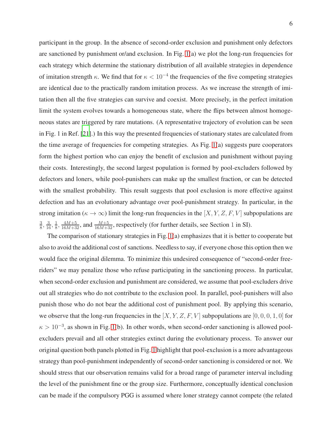participant in the group. In the absence of second-order exclusion and punishment only defectors are sanctioned by punishment or/and exclusion. In Fig. [1\(](#page-24-0)a) we plot the long-run frequencies for each strategy which determine the stationary distribution of all available strategies in dependence of imitation strength  $\kappa$ . We find that for  $\kappa < 10^{-4}$  the frequencies of the five competing strategies are identical due to the practically random imitation process. As we increase the strength of imitation then all the five strategies can survive and coexist. More precisely, in the perfect imitation limit the system evolves towards a homogeneous state, where the flips between almost homogeneous states are triggered by rare mutations. (A representative trajectory of evolution can be seen in Fig. 1 in Ref. [\[21](#page-11-8)].) In this way the presented frequencies of stationary states are calculated from the time average of frequencies for competing strategies. As Fig. [1\(](#page-24-0)a) suggests pure cooperators form the highest portion who can enjoy the benefit of exclusion and punishment without paying their costs. Interestingly, the second largest population is formed by pool-excluders followed by defectors and loners, while pool-punishers can make up the smallest fraction, or can be detected with the smallest probability. This result suggests that pool exclusion is more effective against defection and has an evolutionary advantage over pool-punishment strategy. In particular, in the strong imitation ( $\kappa \to \infty$ ) limit the long-run frequencies in the [X, Y, Z, F, V] subpopulations are 3  $\frac{3}{8}, \frac{3}{16}, \frac{1}{8}$  $\frac{1}{8}$ ,  $\frac{4M+5}{16M+32}$ , and  $\frac{M+5}{16M+32}$ , respectively (for further details, see Section 1 in SI).

The comparison of stationary strategies in Fig. [1\(](#page-24-0)a) emphasizes that it is better to cooperate but also to avoid the additional cost of sanctions. Needless to say, if everyone chose this option then we would face the original dilemma. To minimize this undesired consequence of "second-order freeriders" we may penalize those who refuse participating in the sanctioning process. In particular, when second-order exclusion and punishment are considered, we assume that pool-excluders drive out all strategies who do not contribute to the exclusion pool. In parallel, pool-punishers will also punish those who do not bear the additional cost of punishment pool. By applying this scenario, we observe that the long-run frequencies in the [X, Y, Z, F, V] subpopulations are [0, 0, 0, 1, 0] for  $\kappa > 10^{-3}$ , as shown in Fig. [1\(](#page-24-0)b). In other words, when second-order sanctioning is allowed poolexcluders prevail and all other strategies extinct during the evolutionary process. To answer our original question both panels plotted in Fig. [1](#page-24-0) highlight that pool-exclusion is a more advantageous strategy than pool-punishment independently of second-order sanctioning is considered or not. We should stress that our observation remains valid for a broad range of parameter interval including the level of the punishment fine or the group size. Furthermore, conceptually identical conclusion can be made if the compulsory PGG is assumed where loner strategy cannot compete (the related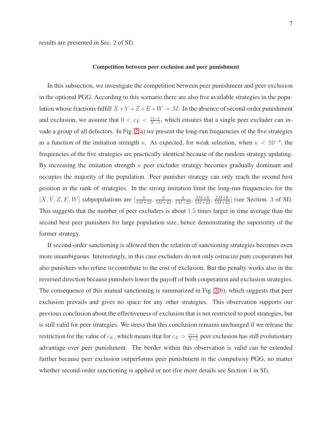results are presented in Sec. 2 of SI).

### Competition between peer exclusion and peer punishment

In this subsection, we investigate the competition between peer punishment and peer exclusion in the optional PGG. According to this scenario there are also five available strategies in the population whose fractions fulfill  $X+Y+Z+E+W = M$ . In the absence of second-order punishment and exclusion, we assume that  $0 < c_E < \frac{r - c_0}{N - 1}$  $\frac{r_{c}-c}{N-1}$ , which ensures that a single peer excluder can invade a group of all defectors. In Fig. [2\(](#page-28-0)a) we present the long-run frequencies of the five strategies as a function of the imitation strength  $\kappa$ . As expected, for weak selection, when  $\kappa < 10^{-4}$ , the frequencies of the five strategies are practically identical because of the random strategy updating. By increasing the imitation strength  $\kappa$  peer excluder strategy becomes gradually dominant and occupies the majority of the population. Peer punisher strategy can only reach the second best position in the rank of strategies. In the strong imitation limit the long-run frequencies for the  $[X, Y, Z, E, W]$  subpopulations are  $\left[\frac{6}{5M+23}, \frac{3}{5M+23}, \frac{2}{5M+23}, \frac{3M+6}{5M+23}, \frac{2M+6}{5M+23}\right]$  (see Section. 3 of SI). This suggests that the number of peer excluders is about 1.5 times larger in time average than the second best peer punishers for large population size, hence demonstrating the superiority of the former strategy.

If second-order sanctioning is allowed then the relation of sanctioning strategies becomes even more unambiguous. Interestingly, in this case excluders do not only ostracize pure cooperators but also punishers who refuse to contribute to the cost of exclusion. But the penalty works also in the reversed direction because punishers lower the payoff of both cooperation and exclusion strategies. The consequence of this mutual sanctioning is summarized in Fig. [2\(](#page-28-0)b), which suggests that peer exclusion prevails and gives no space for any other strategies. This observation supports our previous conclusion about the effectiveness of exclusion that is not restricted to pool strategies, but is still valid for peer strategies. We stress that this conclusion remains unchanged if we release the restriction for the value of  $c_E$ , which means that for  $c_E > \frac{r_c-c}{N-1}$  $\frac{r\cdot c-c}{N-1}$  peer exclusion has still evolutionary advantage over peer punishment. The border within this observation is valid can be extended further because peer exclusion outperforms peer punishment in the compulsory PGG, no matter whether second-order sanctioning is applied or not (for more details see Section 4 in SI).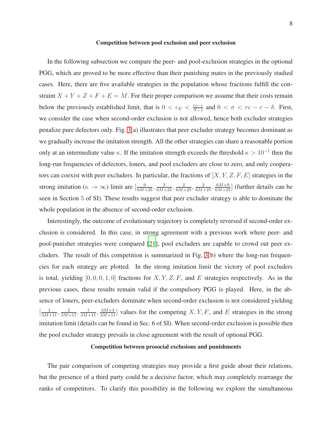### Competition between pool exclusion and peer exclusion

In the following subsection we compare the peer- and pool-exclusion strategies in the optional PGG, which are proved to be more effective than their punishing mates in the previously studied cases. Here, there are five available strategies in the population whose fractions fulfill the constraint  $X + Y + Z + F + E = M$ . For their proper comparison we assume that their costs remain below the previously established limit, that is  $0 < c_E < \frac{r_c-c}{N-1}$  $\frac{r c - c}{N-1}$  and  $0 < \sigma < r c - c - \delta$ . First, we consider the case when second-order exclusion is not allowed, hence both excluder strategies penalize pure defectors only. Fig. [3\(](#page-33-0)a) illustrates that peer excluder strategy becomes dominant as we gradually increase the imitation strength. All the other strategies can share a reasonable portion only at an intermediate value  $\kappa$ . If the imitation strength exceeds the threshold  $\kappa > 10^{-1}$  then the long-run frequencies of defectors, loners, and pool excluders are close to zero, and only cooperators can coexist with peer excluders. In particular, the fractions of  $[X, Y, Z, F, E]$  strategies in the strong imitation ( $\kappa \to \infty$ ) limit are  $\left[\frac{9}{6M+25}, \frac{3}{6M+25}, \frac{2}{6M+25}, \frac{2}{6M+25}, \frac{6M+9}{6M+25}\right]$  (further details can be seen in Section 5 of SI). These results suggest that peer excluder strategy is able to dominate the whole population in the absence of second-order exclusion.

Interestingly, the outcome of evolutionary trajectory is completely reversed if second-order exclusion is considered. In this case, in strong agreement with a previous work where peer- and pool-punisher strategies were compared [\[21](#page-11-8)], pool excluders are capable to crowd out peer excluders. The result of this competition is summarized in Fig. [3\(](#page-33-0)b) where the long-run frequencies for each strategy are plotted. In the strong imitation limit the victory of pool excluders is total, yielding  $[0, 0, 0, 1, 0]$  fractions for  $X, Y, Z, F$ , and E strategies respectively. As in the previous cases, these results remain valid if the compulsory PGG is played. Here, in the absence of loners, peer-excluders dominate when second-order exclusion is not considered yielding  $\left[\frac{4}{3M+11}, \frac{2}{3M+11}, \frac{1}{3M+11}, \frac{3M+4}{3M+11}\right]$  values for the competing X, Y, F, and E strategies in the strong imitation limit (details can be found in Sec. 6 of SI). When second-order exclusion is possible then the pool excluder strategy prevails in close agreement with the result of optional PGG.

### Competition between prosocial exclusions and punishments

The pair comparison of competing strategies may provide a first guide about their relations, but the presence of a third party could be a decisive factor, which may completely rearrange the ranks of competitors. To clarify this possibility in the following we explore the simultaneous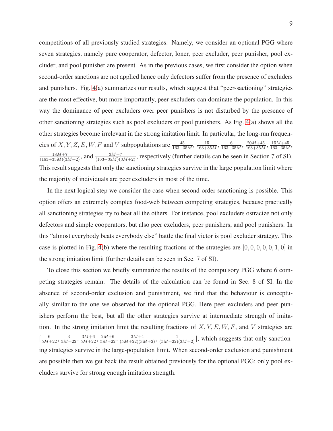competitions of all previously studied strategies. Namely, we consider an optional PGG where seven strategies, namely pure cooperator, defector, loner, peer excluder, peer punisher, pool excluder, and pool punisher are present. As in the previous cases, we first consider the option when second-order sanctions are not applied hence only defectors suffer from the presence of excluders and punishers. Fig. [4\(](#page-38-0)a) summarizes our results, which suggest that "peer-sactioning" strategies are the most effective, but more importantly, peer excluders can dominate the population. In this way the dominance of peer excluders over peer punishers is not disturbed by the presence of other sanctioning strategies such as pool excluders or pool punishers. As Fig. [4\(](#page-38-0)a) shows all the other strategies become irrelevant in the strong imitation limit. In particular, the long-run frequencies of X, Y, Z, E, W, F and V subpopulations are  $\frac{45}{163+35M}$ ,  $\frac{15}{163+35M}$  $\frac{15}{163+35M}$ ,  $\frac{6}{163+35M}$  $\frac{6}{163+35M}$ ,  $\frac{20M+45}{163+35M}$  $\frac{20M+45}{163+35M}$ ,  $\frac{15M+45}{163+35M}$  $\frac{15M+45}{163+35M}$  $\frac{18M+7}{(163+35M)(3M+2)}$ , and  $\frac{3M+7}{(163+35M)(3M+2)}$ , respectively (further details can be seen in Section 7 of SI). This result suggests that only the sanctioning strategies survive in the large population limit where the majority of individuals are peer excluders in most of the time.

In the next logical step we consider the case when second-order sanctioning is possible. This option offers an extremely complex food-web between competing strategies, because practically all sanctioning strategies try to beat all the others. For instance, pool excluders ostracize not only defectors and simple cooperators, but also peer excluders, peer punishers, and pool punishers. In this "almost everybody beats everybody else" battle the final victor is pool excluder strategy. This case is plotted in Fig. [4\(](#page-38-0)b) where the resulting fractions of the strategies are  $[0, 0, 0, 0, 0, 1, 0]$  in the strong imitation limit (further details can be seen in Sec. 7 of SI).

To close this section we briefly summarize the results of the compulsory PGG where 6 competing strategies remain. The details of the calculation can be found in Sec. 8 of SI. In the absence of second-order exclusion and punishment, we find that the behaviour is conceptually similar to the one we observed for the optional PGG. Here peer excluders and peer punishers perform the best, but all the other strategies survive at intermediate strength of imitation. In the strong imitation limit the resulting fractions of  $X, Y, E, W, F$ , and V strategies are  $\left[\frac{6}{5M+22}, \frac{3}{5M+22}, \frac{3M+6}{5M+22}, \frac{2M+6}{5M+22}, \frac{3M+1}{(5M+22)(3M+2)}, \frac{1}{(5M+22)(3M+2)}\right]$ , which suggests that only sanctioning strategies survive in the large-population limit. When second-order exclusion and punishment are possible then we get back the result obtained previously for the optional PGG: only pool excluders survive for strong enough imitation strength.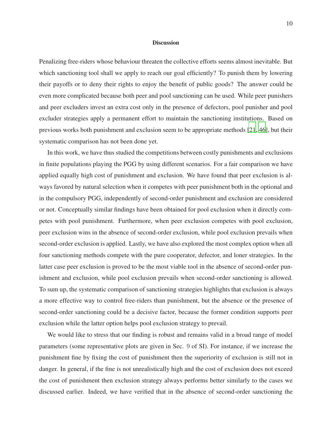### **Discussion**

Penalizing free-riders whose behaviour threaten the collective efforts seems almost inevitable. But which sanctioning tool shall we apply to reach our goal efficiently? To punish them by lowering their payoffs or to deny their rights to enjoy the benefit of public goods? The answer could be even more complicated because both peer and pool sanctioning can be used. While peer punishers and peer excluders invest an extra cost only in the presence of defectors, pool punisher and pool excluder strategies apply a permanent effort to maintain the sanctioning institutions. Based on previous works both punishment and exclusion seem to be appropriate methods [\[21,](#page-11-8) [46](#page-42-1)], but their systematic comparison has not been done yet.

In this work, we have thus studied the competitions between costly punishments and exclusions in finite populations playing the PGG by using different scenarios. For a fair comparison we have applied equally high cost of punishment and exclusion. We have found that peer exclusion is always favored by natural selection when it competes with peer punishment both in the optional and in the compulsory PGG, independently of second-order punishment and exclusion are considered or not. Conceptually similar findings have been obtained for pool exclusion when it directly competes with pool punishment. Furthermore, when peer exclusion competes with pool exclusion, peer exclusion wins in the absence of second-order exclusion, while pool exclusion prevails when second-order exclusion is applied. Lastly, we have also explored the most complex option when all four sanctioning methods compete with the pure cooperator, defector, and loner strategies. In the latter case peer exclusion is proved to be the most viable tool in the absence of second-order punishment and exclusion, while pool exclusion prevails when second-order sanctioning is allowed. To sum up, the systematic comparison of sanctioning strategies highlights that exclusion is always a more effective way to control free-riders than punishment, but the absence or the presence of second-order sanctioning could be a decisive factor, because the former condition supports peer exclusion while the latter option helps pool exclusion strategy to prevail.

We would like to stress that our finding is robust and remains valid in a broad range of model parameters (some representative plots are given in Sec. 9 of SI). For instance, if we increase the punishment fine by fixing the cost of punishment then the superiority of exclusion is still not in danger. In general, if the fine is not unrealistically high and the cost of exclusion does not exceed the cost of punishment then exclusion strategy always performs better similarly to the cases we discussed earlier. Indeed, we have verified that in the absence of second-order sanctioning the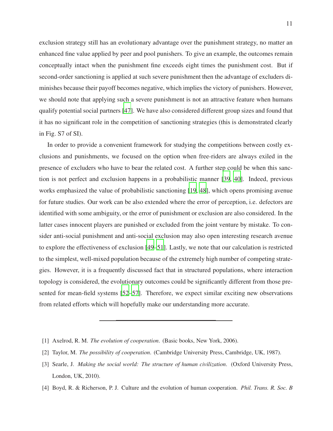exclusion strategy still has an evolutionary advantage over the punishment strategy, no matter an enhanced fine value applied by peer and pool punishers. To give an example, the outcomes remain conceptually intact when the punishment fine exceeds eight times the punishment cost. But if second-order sanctioning is applied at such severe punishment then the advantage of excluders diminishes because their payoff becomes negative, which implies the victory of punishers. However, we should note that applying such a severe punishment is not an attractive feature when humans qualify potential social partners [\[47](#page-13-8)]. We have also considered different group sizes and found that it has no significant role in the competition of sanctioning strategies (this is demonstrated clearly in Fig. S7 of SI).

In order to provide a convenient framework for studying the competitions between costly exclusions and punishments, we focused on the option when free-riders are always exiled in the presence of excluders who have to bear the related cost. A further step could be when this sanction is not perfect and exclusion happens in a probabilistic manner [\[39](#page-13-2), [40](#page-13-3)]. Indeed, previous works emphasized the value of probabilistic sanctioning [\[19](#page-11-6), [48](#page-13-9)], which opens promising avenue for future studies. Our work can be also extended where the error of perception, i.e. defectors are identified with some ambiguity, or the error of punishment or exclusion are also considered. In the latter cases innocent players are punished or excluded from the joint venture by mistake. To consider anti-social punishment and anti-social exclusion may also open interesting research avenue to explore the effectiveness of exclusion [\[49](#page-13-10)[–51\]](#page-13-11). Lastly, we note that our calculation is restricted to the simplest, well-mixed population because of the extremely high number of competing strategies. However, it is a frequently discussed fact that in structured populations, where interaction topology is considered, the evolutionary outcomes could be significantly different from those presented for mean-field systems [\[52](#page-14-0)[–57\]](#page-14-1). Therefore, we expect similar exciting new observations from related efforts which will hopefully make our understanding more accurate.

<span id="page-10-0"></span><sup>[1]</sup> Axelrod, R. M. *The evolution of cooperation*. (Basic books, New York, 2006).

<sup>[2]</sup> Taylor, M. *The possibility of cooperation*. (Cambridge University Press, Cambridge, UK, 1987).

<sup>[3]</sup> Searle, J. *Making the social world: The structure of human civilization*. (Oxford University Press, London, UK, 2010).

<sup>[4]</sup> Boyd, R. & Richerson, P. J. Culture and the evolution of human cooperation. *Phil. Trans. R. Soc. B*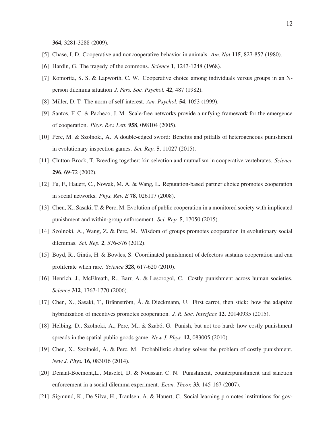364, 3281-3288 (2009).

- <span id="page-11-1"></span><span id="page-11-0"></span>[5] Chase, I. D. Cooperative and noncooperative behavior in animals. *Am. Nat.*115, 827-857 (1980).
- [6] Hardin, G. The tragedy of the commons. *Science* 1, 1243-1248 (1968).
- [7] Komorita, S. S. & Lapworth, C. W. Cooperative choice among individuals versus groups in an Nperson dilemma situation *J. Pers. Soc. Psychol.* 42, 487 (1982).
- <span id="page-11-3"></span><span id="page-11-2"></span>[8] Miller, D. T. The norm of self-interest. *Am. Psychol.* 54, 1053 (1999).
- [9] Santos, F. C. & Pacheco, J. M. Scale-free networks provide a unfying framework for the emergence of cooperation. *Phys. Rev. Lett.* 958, 098104 (2005).
- [10] Perc, M. & Szolnoki, A. A double-edged sword: Benefits and pitfalls of heterogeneous punishment in evolutionary inspection games. *Sci. Rep.* 5, 11027 (2015).
- [11] Clutton-Brock, T. Breeding together: kin selection and mutualism in cooperative vertebrates. *Science* 296, 69-72 (2002).
- [12] Fu, F., Hauert, C., Nowak, M. A. & Wang, L. Reputation-based partner choice promotes cooperation in social networks. *Phys. Rev. E* 78, 026117 (2008).
- [13] Chen, X., Sasaki, T. & Perc, M. Evolution of public cooperation in a monitored society with implicated punishment and within-group enforcement. *Sci. Rep.* 5, 17050 (2015).
- [14] Szolnoki, A., Wang, Z. & Perc, M. Wisdom of groups promotes cooperation in evolutionary social dilemmas. *Sci. Rep.* 2, 576-576 (2012).
- <span id="page-11-4"></span>[15] Boyd, R., Gintis, H. & Bowles, S. Coordinated punishment of defectors sustains cooperation and can proliferate when rare. *Science* 328, 617-620 (2010).
- <span id="page-11-5"></span>[16] Henrich, J., McElreath, R., Barr, A. & Lesorogol, C. Costly punishment across human societies. *Science* 312, 1767-1770 (2006).
- [17] Chen, X., Sasaki, T., Brännström, Å. & Dieckmann, U. First carrot, then stick: how the adaptive hybridization of incentives promotes cooperation. *J. R. Soc. Interface* 12, 20140935 (2015).
- [18] Helbing, D., Szolnoki, A., Perc, M., & Szabó, G. Punish, but not too hard: how costly punishment spreads in the spatial public goods game. *New J. Phys.* 12, 083005 (2010).
- <span id="page-11-6"></span>[19] Chen, X., Szolnoki, A. & Perc, M. Probabilistic sharing solves the problem of costly punishment. *New J. Phys.* 16, 083016 (2014).
- <span id="page-11-7"></span>[20] Denant-Boemont,L., Masclet, D. & Noussair, C. N. Punishment, counterpunishment and sanction enforcement in a social dilemma experiment. *Econ. Theor.* 33, 145-167 (2007).
- <span id="page-11-8"></span>[21] Sigmund, K., De Silva, H., Traulsen, A. & Hauert, C. Social learning promotes institutions for gov-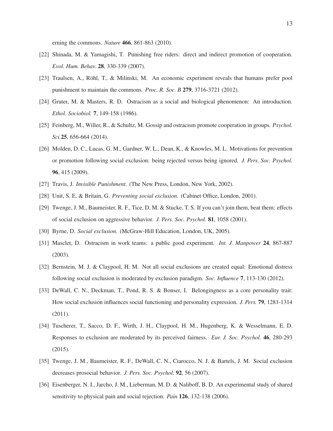erning the commons. *Nature* 466, 861-863 (2010).

- [22] Shinada, M. & Yamagishi, T. Punishing free riders: direct and indirect promotion of cooperation. *Evol. Hum. Behav.* 28, 330-339 (2007).
- <span id="page-12-0"></span>[23] Traulsen, A., Röhl, T., & Milinski, M. An economic experiment reveals that humans prefer pool punishment to maintain the commons. *Proc. R. Soc. B* 279, 3716-3721 (2012).
- <span id="page-12-1"></span>[24] Gruter, M. & Masters, R. D. Ostracism as a social and biological phenomenon: An introduction. *Ethol. Sociobiol.* 7, 149-158 (1986).
- [25] Feinberg, M., Willer, R., & Schultz, M. Gossip and ostracism promote cooperation in groups. *Psychol. Sci.*25, 656-664 (2014).
- <span id="page-12-2"></span>[26] Molden, D. C., Lucas, G. M., Gardner, W. L., Dean, K., & Knowles, M. L. Motivations for prevention or promotion following social exclusion: being rejected versus being ignored. *J. Pers. Soc. Psychol.* 96, 415 (2009).
- <span id="page-12-3"></span>[27] Travis, J. *Invisible Punishment*. (The New Press, London, New York, 2002).
- <span id="page-12-4"></span>[28] Unit, S. E. & Britain, G. *Preventing social exclusion*. (Cabinet Office, London, 2001).
- [29] Twenge, J. M., Baumeister, R. F., Tice, D. M. & Stucke, T. S. If you can't join them, beat them: effects of social exclusion on aggressive behavior. *J. Pers. Soc. Psychol.* 81, 1058 (2001).
- [30] Byrne, D. *Social exclusion*. (McGraw-Hill Education, London, UK, 2005).
- <span id="page-12-5"></span>[31] Masclet, D. Ostracism in work teams: a public good experiment. *Int. J. Manpower* 24, 867-887 (2003).
- <span id="page-12-6"></span>[32] Bernstein, M. J. & Claypool, H. M. Not all social exclusions are created equal: Emotional distress following social exclusion is moderated by exclusion paradigm. *Soc. Influence* 7, 113-130 (2012).
- [33] DeWall, C. N., Deckman, T., Pond, R. S. & Bonser, I. Belongingness as a core personality trait: How social exclusion influences social functioning and personality expression. *J. Pers.* 79, 1281-1314 (2011).
- [34] Tuscherer, T., Sacco, D. F., Wirth, J. H., Claypool, H. M., Hugenberg, K. & Wesselmann, E. D. Responses to exclusion are moderated by its perceived fairness. *Eur. J. Soc. Psychol.* 46, 280-293 (2015).
- [35] Twenge, J. M., Baumeister, R. F., DeWall, C. N., Ciarocco, N. J. & Bartels, J. M. Social exclusion decreases prosocial behavior. *J. Pers. Soc. Psychol.* 92, 56 (2007).
- <span id="page-12-7"></span>[36] Eisenberger, N. I., Jarcho, J. M., Lieberman, M. D. & Naliboff, B. D. An experimental study of shared sensitivity to physical pain and social rejection. *Pain* 126, 132-138 (2006).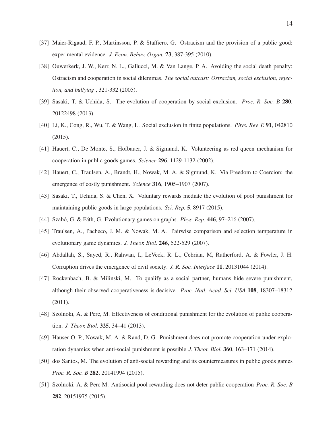- <span id="page-13-0"></span>[37] Maier-Rigaud, F. P., Martinsson, P. & Staffiero, G. Ostracism and the provision of a public good: experimental evidence. *J. Econ. Behav. Organ.* 73, 387-395 (2010).
- <span id="page-13-1"></span>[38] Ouwerkerk, J. W., Kerr, N. L., Gallucci, M. & Van Lange, P. A. Avoiding the social death penalty: Ostracism and cooperation in social dilemmas. *The social outcast: Ostracism, social exclusion, rejection, and bullying* , 321-332 (2005).
- <span id="page-13-2"></span>[39] Sasaki, T. & Uchida, S. The evolution of cooperation by social exclusion. *Proc. R. Soc. B* 280, 20122498 (2013).
- <span id="page-13-3"></span>[40] Li, K., Cong, R., Wu, T. & Wang, L. Social exclusion in finite populations. *Phys. Rev. E* 91, 042810 (2015).
- <span id="page-13-4"></span>[41] Hauert, C., De Monte, S., Hofbauer, J. & Sigmund, K. Volunteering as red queen mechanism for cooperation in public goods games. *Science* 296, 1129-1132 (2002).
- [42] Hauert, C., Traulsen, A., Brandt, H., Nowak, M. A. & Sigmund, K. Via Freedom to Coercion: the emergence of costly punishment. *Science* 316, 1905–1907 (2007).
- <span id="page-13-5"></span>[43] Sasaki, T., Uchida, S. & Chen, X. Voluntary rewards mediate the evolution of pool punishment for maintaining public goods in large populations. *Sci. Rep.* 5, 8917 (2015).
- <span id="page-13-7"></span><span id="page-13-6"></span>[44] Szabó, G. & Fáth, G. Evolutionary games on graphs. *Phys. Rep.* 446, 97–216 (2007).
- [45] Traulsen, A., Pacheco, J. M. & Nowak, M. A. Pairwise comparison and selection temperature in evolutionary game dynamics. *J. Theor. Biol.* 246, 522-529 (2007).
- [46] Abdallah, S., Sayed, R., Rahwan, I., LeVeck, R. L., Cebrian, M, Rutherford, A. & Fowler, J. H. Corruption drives the emergence of civil society. *J. R. Soc. Interface* 11, 20131044 (2014).
- <span id="page-13-8"></span>[47] Rockenbach, B. & Milinski, M. To qualify as a social partner, humans hide severe punishment, although their observed cooperativeness is decisive. *Proc. Natl. Acad. Sci. USA* 108, 18307–18312 (2011).
- <span id="page-13-9"></span>[48] Szolnoki, A. & Perc, M. Effectiveness of conditional punishment for the evolution of public cooperation. *J. Theor. Biol.* 325, 34–41 (2013).
- <span id="page-13-10"></span>[49] Hauser O. P., Nowak, M. A. & Rand, D. G. Punishment does not promote cooperation under exploration dynamics when anti-social punishment is possible *J. Theor. Biol.* 360, 163–171 (2014).
- [50] dos Santos, M. The evolution of anti-social rewarding and its countermeasures in public goods games *Proc. R. Soc. B* 282, 20141994 (2015).
- <span id="page-13-11"></span>[51] Szolnoki, A. & Perc M. Antisocial pool rewarding does not deter public cooperation *Proc. R. Soc. B* 282, 20151975 (2015).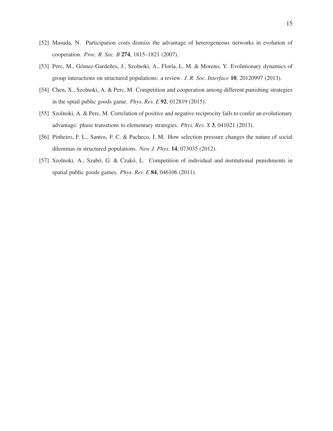- <span id="page-14-0"></span>[52] Masuda, N. Participation costs dismiss the advantage of heterogeneous networks in evolution of cooperation. *Proc. R. Soc. B* 274, 1815–1821 (2007).
- [53] Perc, M., Gómez-Gardeñes, J., Szolnoki, A., Floría, L. M. & Moreno, Y. Evolutionary dynamics of group interactions on structured populations: a review. *J. R. Soc. Interface* 10, 20120997 (2013).
- [54] Chen, X., Szolnoki, A. & Perc, M. Competition and cooperation among different punishing strategies in the sptail public goods game. *Phys. Rev. E* 92, 012819 (2015).
- [55] Szolnoki, A. & Perc, M. Correlation of positive and negative reciprocity fails to confer an evolutionary advantage: phase transitions to elementary strategies. *Phys. Rev. X* 3, 041021 (2013).
- [56] Pinheiro, F. L., Santos, F. C. & Pacheco, J. M. How selection pressure changes the nature of social dilemmas in structured populations. *New J. Phys.* 14, 073035 (2012).
- <span id="page-14-1"></span>[57] Szolnoki, A., Szabó, G. & Czakó, L. Competition of individual and institutional punishments in spatial public goods games. *Phys. Rev. E* 84, 046106 (2011).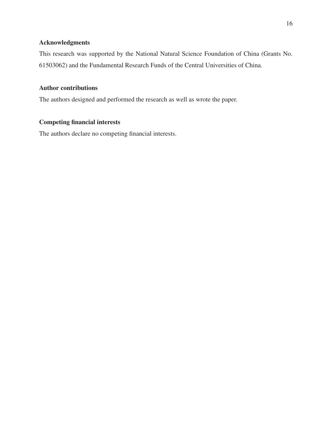# Acknowledgments

This research was supported by the National Natural Science Foundation of China (Grants No. 61503062) and the Fundamental Research Funds of the Central Universities of China.

# Author contributions

The authors designed and performed the research as well as wrote the paper.

# Competing financial interests

The authors declare no competing financial interests.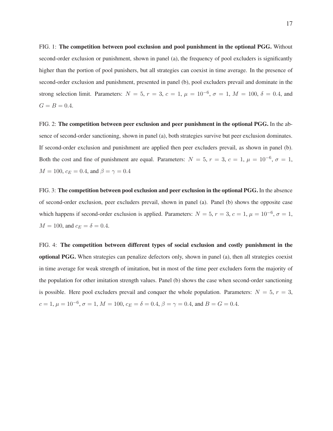FIG. 1: The competition between pool exclusion and pool punishment in the optional PGG. Without second-order exclusion or punishment, shown in panel (a), the frequency of pool excluders is significantly higher than the portion of pool punishers, but all strategies can coexist in time average. In the presence of second-order exclusion and punishment, presented in panel (b), pool excluders prevail and dominate in the strong selection limit. Parameters:  $N = 5$ ,  $r = 3$ ,  $c = 1$ ,  $\mu = 10^{-6}$ ,  $\sigma = 1$ ,  $M = 100$ ,  $\delta = 0.4$ , and  $G = B = 0.4.$ 

FIG. 2: The competition between peer exclusion and peer punishment in the optional PGG. In the absence of second-order sanctioning, shown in panel (a), both strategies survive but peer exclusion dominates. If second-order exclusion and punishment are applied then peer excluders prevail, as shown in panel (b). Both the cost and fine of punishment are equal. Parameters:  $N = 5$ ,  $r = 3$ ,  $c = 1$ ,  $\mu = 10^{-6}$ ,  $\sigma = 1$ ,  $M = 100$ ,  $c_E = 0.4$ , and  $\beta = \gamma = 0.4$ 

FIG. 3: The competition between pool exclusion and peer exclusion in the optional PGG. In the absence of second-order exclusion, peer excluders prevail, shown in panel (a). Panel (b) shows the opposite case which happens if second-order exclusion is applied. Parameters:  $N = 5$ ,  $r = 3$ ,  $c = 1$ ,  $\mu = 10^{-6}$ ,  $\sigma = 1$ ,  $M = 100$ , and  $c_E = \delta = 0.4$ .

FIG. 4: The competition between different types of social exclusion and costly punishment in the optional PGG. When strategies can penalize defectors only, shown in panel (a), then all strategies coexist in time average for weak strength of imitation, but in most of the time peer excluders form the majority of the population for other imitation strength values. Panel (b) shows the case when second-order sanctioning is possible. Here pool excluders prevail and conquer the whole population. Parameters:  $N = 5$ ,  $r = 3$ ,  $c = 1, \mu = 10^{-6}, \sigma = 1, M = 100, c_E = \delta = 0.4, \beta = \gamma = 0.4, \text{ and } B = G = 0.4.$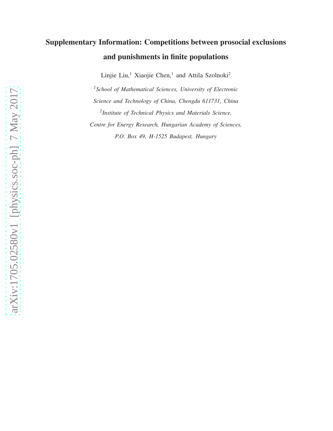# Supplementary Information: Competitions between prosocial exclusions and punishments in finite populations

Linjie Liu,<sup>1</sup> Xiaojie Chen,<sup>1</sup> and Attila Szolnoki<sup>2</sup>

*<sup>1</sup>School of Mathematical Sciences, University of Electronic Science and Technology of China, Chengdu 611731, China 2 Institute of Technical Physics and Materials Science,*

*Centre for Energy Research, Hungarian Academy of Sciences, P.O. Box 49, H-1525 Budapest, Hungary*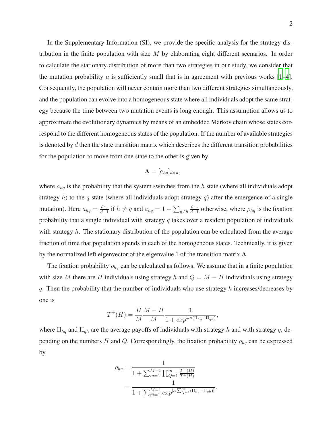In the Supplementary Information (SI), we provide the specific analysis for the strategy distribution in the finite population with size  $M$  by elaborating eight different scenarios. In order to calculate the stationary distribution of more than two strategies in our study, we consider that the mutation probability  $\mu$  is sufficiently small that is in agreement with previous works [\[1](#page-42-1)[–4](#page-42-2)]. Consequently, the population will never contain more than two different strategies simultaneously, and the population can evolve into a homogeneous state where all individuals adopt the same strategy because the time between two mutation events is long enough. This assumption allows us to approximate the evolutionary dynamics by means of an embedded Markov chain whose states correspond to the different homogeneous states of the population. If the number of available strategies is denoted by  $d$  then the state transition matrix which describes the different transition probabilities for the population to move from one state to the other is given by

$$
\mathbf{A} = [a_{hq}]_{d \times d},
$$

where  $a_{hq}$  is the probability that the system switches from the h state (where all individuals adopt strategy h) to the q state (where all individuals adopt strategy q) after the emergence of a single mutation). Here  $a_{hq} = \frac{\rho_{hq}}{d-1}$  $\frac{\rho_{hq}}{d-1}$  if  $h \neq q$  and  $a_{hq} = 1 - \sum_{q \neq h}$  $\rho_{hq}$  $\frac{\rho_{hq}}{d-1}$  otherwise, where  $\rho_{hq}$  is the fixation probability that a single individual with strategy  $q$  takes over a resident population of individuals with strategy h. The stationary distribution of the population can be calculated from the average fraction of time that population spends in each of the homogeneous states. Technically, it is given by the normalized left eigenvector of the eigenvalue 1 of the transition matrix A.

The fixation probability  $\rho_{hq}$  can be calculated as follows. We assume that in a finite population with size M there are H individuals using strategy h and  $Q = M - H$  individuals using strategy q. Then the probability that the number of individuals who use strategy  $h$  increases/decreases by one is

$$
T^{\pm}(H) = \frac{H M - H}{M M} \frac{1}{1 + exp^{\mp \kappa(\Pi_{hq} - \Pi_{qh})}},
$$

where  $\Pi_{hq}$  and  $\Pi_{qh}$  are the average payoffs of individuals with strategy h and with strategy q, depending on the numbers H and Q. Correspondingly, the fixation probability  $\rho_{hq}$  can be expressed by

$$
\rho_{hq} = \frac{1}{1 + \sum_{m=1}^{M-1} \prod_{Q=1}^m \frac{T^-(H)}{T^+(H)}} = \frac{1}{1 + \sum_{m=1}^{M-1} exp^{[\kappa \sum_{Q=1}^m (\Pi_{hq} - \Pi_{qh})]}}.
$$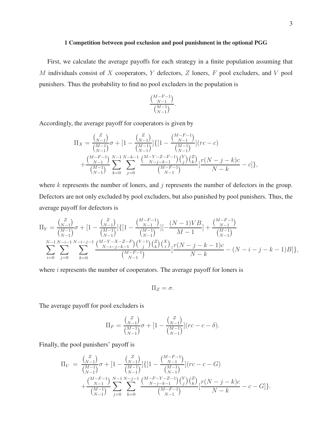## 1 Competition between pool exclusion and pool punishment in the optional PGG

First, we calculate the average payoffs for each strategy in a finite population assuming that M individuals consist of X cooperators, Y defectors, Z loners,  $F$  pool excluders, and V pool punishers. Thus the probability to find no pool excluders in the population is

$$
\frac{{M-F-1 \choose N-1}}{{M-1 \choose N-1}}.
$$

Accordingly, the average payoff for cooperators is given by

$$
\Pi_X = \frac{\binom{Z}{N-1}}{\binom{M-1}{N-1}} \sigma + \left[1 - \frac{\binom{Z}{N-1}}{\binom{M-1}{N-1}}\right] \left\{ \left[1 - \frac{\binom{M-F-1}{N-1}}{\binom{M-1}{N-1}}\right] (rc - c) + \frac{\binom{M-F-1}{N-1}}{\binom{M-1}{N-1}} \sum_{k=0}^{N-1} \sum_{j=0}^{N-k-1} \frac{\binom{M-Y-Z-F-1}{N-j-k-1} \binom{Y}{j} \binom{Z}{k}}{\binom{M-F-1}{N-1}} \left[\frac{r(N-j-k)c}{N-k} - c\right] \right\},
$$

where  $k$  represents the number of loners, and  $j$  represents the number of defectors in the group. Defectors are not only excluded by pool excluders, but also punished by pool punishers. Thus, the average payoff for defectors is

$$
\Pi_{Y} = \frac{\binom{Z}{N-1}}{\binom{M-1}{N-1}} \sigma + \left[1 - \frac{\binom{Z}{N-1}}{\binom{M-1}{N-1}}\right] \left\{ \left[1 - \frac{\binom{M-F-1}{N-1}}{\binom{M-1}{N-1}}\right] \left[-\frac{(N-1)VB}{M-1}\right] + \frac{\binom{M-F-1}{N-1}}{\binom{M-1}{N-1}} \right\}
$$
\n
$$
\sum_{i=0}^{N-1} \sum_{j=0}^{N-i-1} \sum_{k=0}^{N-i-j-1} \frac{\binom{M-Y-X-Z-F}{N-i-j-k-1} \binom{Y-1}{j} \binom{Z}{k} \binom{X}{i}}{\binom{N-j}{N-1}} \left[\frac{r(N-j-k-1)c}{N-k} - (N-i-j-k-1)B\right],
$$

where  $i$  represents the number of cooperators. The average payoff for loners is

$$
\Pi_Z=\sigma.
$$

The average payoff for pool excluders is

$$
\Pi_F = \frac{\binom{Z}{N-1}}{\binom{M-1}{N-1}} \sigma + \left[1 - \frac{\binom{Z}{N-1}}{\binom{M-1}{N-1}}\right] (rc - c - \delta).
$$

Finally, the pool punishers' payoff is

$$
\Pi_V = \frac{\binom{Z}{N-1}}{\binom{M-1}{N-1}} \sigma + \left[1 - \frac{\binom{Z}{N-1}}{\binom{M-1}{N-1}}\right] \left\{ \left[1 - \frac{\binom{M-F-1}{N-1}}{\binom{M-1}{N-1}}\right] (rc - c - G) + \frac{\binom{M-F-1}{N-1}}{\binom{M-1}{N-1}} \sum_{j=0}^{N-1} \sum_{k=0}^{N-j-1} \frac{\binom{M-F-Y-Z-1}{N-j-k-1} \binom{Y}{j} \binom{Z}{k}}{\binom{M-F-1}{N-1}} \left[\frac{r(N-j-k)c}{N-k} - c - G\right]\right\}.
$$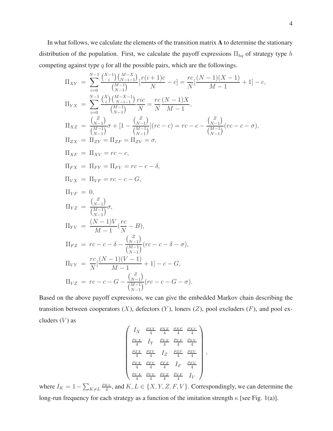In what follows, we calculate the elements of the transition matrix  $\bf{A}$  to determine the stationary distribution of the population. First, we calculate the payoff expressions  $\Pi_{hq}$  of strategy type h competing against type  $q$  for all the possible pairs, which are the followings.

$$
\Pi_{XY} = \sum_{i=0}^{N-1} \frac{\binom{X-1}{i}\binom{M-X}{N-i-1}}{\binom{M-1}{N-i}} \frac{r(i+1)c}{N} - c] = \frac{rc}{N} \left[ \frac{(N-1)(X-1)}{M-1} + 1 \right] - c,
$$
\n
$$
\Pi_{YX} = \sum_{i=0}^{N-1} \frac{\binom{X}{i}\binom{M-X-1}{N-i-1}}{\binom{M-1}{N-1}} \frac{ric}{N} = \frac{rc}{N} \frac{(N-1)X}{M-1},
$$
\n
$$
\Pi_{XZ} = \frac{\binom{Z}{N-1}}{\binom{M-1}{N-1}} \sigma + \left[1 - \frac{\binom{Z}{N-1}}{\binom{M-1}{N-1}}\right] (rc - c) = rc - c - \frac{\binom{Z}{N-1}}{\binom{M-1}{N-1}} (rc - c - \sigma),
$$
\n
$$
\Pi_{ZX} = \Pi_{ZY} = \Pi_{ZY} = r - c,
$$
\n
$$
\Pi_{YX} = \Pi_{YY} = rc - c - \delta,
$$
\n
$$
\Pi_{YX} = \Pi_{YY} = rc - c - \delta,
$$
\n
$$
\Pi_{YZ} = \frac{\binom{Z}{N-1}}{\binom{M-1}{N-1}} \sigma,
$$
\n
$$
\Pi_{YZ} = \frac{\binom{Z}{N-1}}{\binom{M-1}{N-1}} \sigma,
$$
\n
$$
\Pi_{YY} = \frac{(N-1)V}{M-1} \left( \frac{rc}{N} - B \right),
$$
\n
$$
\Pi_{FZ} = rc - c - \delta - \frac{\binom{Z}{N-1}}{\binom{M-1}{N-1}} (rc - c - \delta - \sigma),
$$
\n
$$
\Pi_{VY} = \frac{rc}{N} \left( \frac{(N-1)(V-1)}{M-1} + 1 \right) - c - G,
$$
\n
$$
\Pi_{VZ} = rc - c - G - \frac{\binom{Z}{N-1}}{\binom{M-1}{N-1}} (rc - c - G - \sigma).
$$

Based on the above payoff expressions, we can give the embedded Markov chain describing the transition between cooperators  $(X)$ , defectors  $(Y)$ , loners  $(Z)$ , pool excluders  $(F)$ , and pool excluders  $(V)$  as

$$
\left(\begin{array}{ccccc}I_X & \frac{\rho_{XY}}{4} & \frac{\rho_{XZ}}{4} & \frac{\rho_{XF}}{4} & \frac{\rho_{XY}}{4} \\ \frac{\rho_{YX}}{4} & I_Y & \frac{\rho_{YZ}}{4} & \frac{\rho_{YF}}{4} & \frac{\rho_{YY}}{4} \\ \frac{\rho_{ZX}}{4} & \frac{\rho_{ZY}}{4} & I_Z & \frac{\rho_{ZF}}{4} & \frac{\rho_{ZY}}{4} \\ \frac{\rho_{FX}}{4} & \frac{\rho_{FY}}{4} & \frac{\rho_{FZ}}{4} & I_F & \frac{\rho_{FY}}{4} \\ \frac{\rho_{VX}}{4} & \frac{\rho_{VY}}{4} & \frac{\rho_{VZ}}{4} & \frac{\rho_{VF}}{4} & I_V \end{array}\right),
$$

where  $I_K = 1 - \sum_{K \neq L}$  $\rho_{KL}$  $\frac{KL}{4}$ , and  $K, L \in \{X, Y, Z, F, V\}$ . Correspondingly, we can determine the long-run frequency for each strategy as a function of the imitation strength  $\kappa$  [see Fig. 1(a)].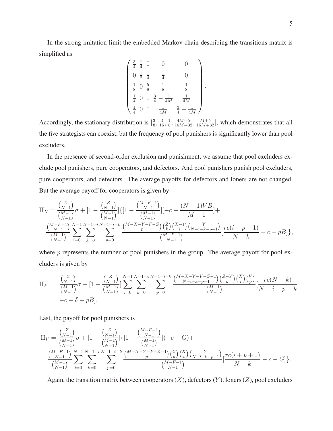$$
\begin{pmatrix}\n\frac{3}{4} & \frac{1}{4} & 0 & 0 & 0 \\
0 & \frac{1}{2} & \frac{1}{4} & \frac{1}{4} & 0 \\
\frac{1}{8} & 0 & \frac{5}{8} & \frac{1}{8} & \frac{1}{8} \\
\frac{1}{4} & 0 & 0 & \frac{3}{4} - \frac{1}{4M} & \frac{1}{4M} \\
\frac{1}{4} & 0 & 0 & \frac{1}{4M} & \frac{3}{4} - \frac{1}{4M}\n\end{pmatrix}
$$

.

Accordingly, the stationary distribution is  $\left[\frac{3}{8}\right]$  $\frac{3}{8}, \frac{3}{16}, \frac{1}{8}$  $\frac{1}{8}$ ,  $\frac{4M+5}{16M+32}$ ,  $\frac{M+5}{16M+32}$ , which demonstrates that all the five strategists can coexist, but the frequency of pool punishers is significantly lower than pool excluders.

In the presence of second-order exclusion and punishment, we assume that pool excluders exclude pool punishers, pure cooperators, and defectors. And pool punishers punish pool excluders, pure cooperators, and defectors. The average payoffs for defectors and loners are not changed. But the average payoff for cooperators is given by

$$
\Pi_X = \frac{\binom{Z}{N-1}}{\binom{M-1}{N-1}} \sigma + \left[1 - \frac{\binom{Z}{N-1}}{\binom{M-1}{N-1}}\right] \left\{ \left[1 - \frac{\binom{M-F-1}{N-1}}{\binom{M-1}{N-1}}\right] \left[-c - \frac{(N-1)VB}{M-1}\right] + \frac{\binom{M-F-1}{N-1}}{\binom{M-1}{N-1}} \sum_{i=0}^{N-1} \sum_{k=0}^{N-1-i-k} \frac{\binom{M-X-Y-F-Z}{p} \binom{Z}{k} \binom{X-1}{i} \binom{Y}{N-i-k-p-1}}{\binom{M-F-1}{N-1}} \left[\frac{rc(i+p+1)}{N-k} - c - pB\right],
$$

where  $p$  represents the number of pool punishers in the group. The average payoff for pool excluders is given by

$$
\Pi_F = \frac{\binom{Z}{N-1}}{\binom{M-1}{N-1}} \sigma + \left[1 - \frac{\binom{Z}{N-1}}{\binom{M-1}{N-1}}\right] \sum_{i=0}^{N-1} \sum_{k=0}^{N-1-i} \sum_{p=0}^{N-1-i-k} \frac{\binom{M-X-Y-V-Z-1}{N-i-k-p-1} \binom{Z+Y}{k} \binom{X}{i} \binom{V}{p}}{\binom{M-1}{N-i-p-k}} \left[\frac{rc(N-k)}{N-i-p-k} - c - \delta - pB\right].
$$

Last, the payoff for pool punishers is

$$
\Pi_V = \frac{\binom{Z}{N-1}}{\binom{M-1}{N-1}} \sigma + \left[1 - \frac{\binom{Z}{N-1}}{\binom{M-1}{N-1}}\right] \left\{ \left[1 - \frac{\binom{M-F-1}{N-1}}{\binom{M-1}{N-1}}\right] (-c - G) + \frac{\binom{M-F-1}{N-1}}{\binom{M-1}{N-1}} \sum_{i=0}^{N-1} \sum_{k=0}^{N-1-i} \sum_{p=0}^{N-1-i-k} \frac{\binom{M-X-Y-F-Z-1}{p} \binom{Z}{k} \binom{X}{i} \binom{Y}{N-i-k-p-1}}{\binom{M-F-1}{N-1}} \left[\frac{rc(i+p+1)}{N-k} - c - G\right] \right\}.
$$

Again, the transition matrix between cooperators  $(X)$ , defectors  $(Y)$ , loners  $(Z)$ , pool excluders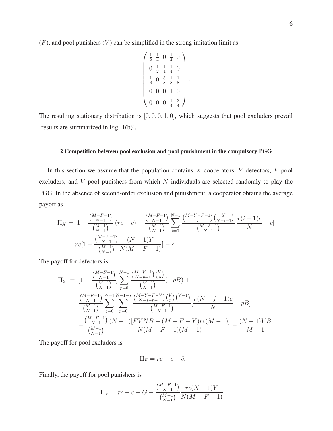$$
\begin{pmatrix}\n\frac{1}{2} & \frac{1}{4} & 0 & \frac{1}{4} & 0 \\
0 & \frac{1}{2} & \frac{1}{4} & \frac{1}{4} & 0 \\
\frac{1}{8} & 0 & \frac{5}{8} & \frac{1}{8} & \frac{1}{8} \\
0 & 0 & 0 & 1 & 0 \\
0 & 0 & 0 & \frac{1}{4} & \frac{3}{4}\n\end{pmatrix}
$$

.

The resulting stationary distribution is  $[0, 0, 0, 1, 0]$ , which suggests that pool excluders prevail [results are summarized in Fig. 1(b)].

## 2 Competition between pool exclusion and pool punishment in the compulsory PGG

In this section we assume that the population contains  $X$  cooperators,  $Y$  defectors,  $F$  pool excluders, and  $V$  pool punishers from which  $N$  individuals are selected randomly to play the PGG. In the absence of second-order exclusion and punishment, a cooperator obtains the average payoff as

$$
\Pi_X = \left[1 - \frac{\binom{M-F-1}{N-1}}{\binom{M-1}{N-1}}\right](rc - c) + \frac{\binom{M-F-1}{N-1}}{\binom{M-1}{N-1}} \sum_{i=0}^{N-1} \frac{\binom{M-Y-F-1}{i}\binom{Y}{N-i-1}}{\binom{M-F-1}{N-1}} \left[\frac{r(i+1)c}{N} - c\right]
$$

$$
= rc[1 - \frac{\binom{M-F-1}{N-1}}{\binom{M-1}{N-1}} \frac{(N-1)Y}{N(M-F-1)}\right] - c.
$$

The payoff for defectors is

$$
\Pi_{Y} = \left[1 - \frac{\binom{M-F-1}{N-1}}{\binom{M-1}{N-1}}\right] \sum_{p=0}^{N-1} \frac{\binom{M-V-1}{N-p-1} \binom{V}{p}}{\binom{M-1}{N-1}} (-pB) +
$$
\n
$$
\frac{\binom{M-F-1}{N-1}}{\binom{M-1}{N-1}} \sum_{j=0}^{N-1} \sum_{p=0}^{N-1-j} \frac{\binom{M-Y-F-V}{N-j-p-1} \binom{V}{p} \binom{Y-1}{j}}{\binom{M-F-1}{N-1}} \left[\frac{r(N-j-1)c}{N} - pB\right]
$$
\n
$$
= -\frac{\binom{M-F-1}{N-1}}{\binom{M-1}{N-1}} \frac{(N-1)[FVNB - (M-F-Y)rc(M-1)]}{N(M-F-1)(M-1)} - \frac{(N-1)VB}{M-1}.
$$

The payoff for pool excluders is

$$
\Pi_F = rc - c - \delta.
$$

Finally, the payoff for pool punishers is

$$
\Pi_V = rc - c - G - \frac{\binom{M-F-1}{N-1}}{\binom{M-1}{N-1}} \frac{rc(N-1)Y}{N(M-F-1)}.
$$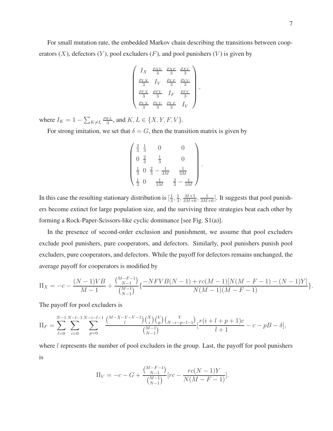For small mutation rate, the embedded Markov chain describing the transitions between cooperators  $(X)$ , defectors  $(Y)$ , pool excluders  $(F)$ , and pool punishers  $(V)$  is given by

$$
\begin{pmatrix}\nI_X & \frac{\rho_{XY}}{3} & \frac{\rho_{XF}}{3} & \frac{\rho_{XY}}{3} \\
\frac{\rho_{YX}}{3} & I_Y & \frac{\rho_{YF}}{3} & \frac{\rho_{YY}}{3} \\
\frac{\rho_{FX}}{3} & \frac{\rho_{FY}}{3} & I_F & \frac{\rho_{FY}}{3} \\
\frac{\rho_{VX}}{3} & \frac{\rho_{VY}}{3} & \frac{\rho_{VF}}{3} & I_V\n\end{pmatrix},
$$

where  $I_K = 1 - \sum_{K \neq L}$  $\rho_{KL}$  $\frac{KL}{3}$ , and  $K, L \in \{X, Y, F, V\}.$ 

For strong imitation, we set that  $\delta = G$ , then the transition matrix is given by

$$
\begin{pmatrix}\n\frac{2}{3} & \frac{1}{3} & 0 & 0 \\
0 & \frac{2}{3} & \frac{1}{3} & 0 \\
\frac{1}{3} & 0 & \frac{2}{3} - \frac{1}{3M} & \frac{1}{3M} \\
\frac{1}{3} & 0 & \frac{1}{3M} & \frac{2}{3} - \frac{1}{3M}\n\end{pmatrix}
$$

.

In this case the resulting stationary distribution is  $\left[\frac{1}{3}\right]$  $\frac{1}{3}, \frac{1}{3}$  $\frac{1}{3}, \frac{M+1}{3M+6}, \frac{1}{3M+6}$ . It suggests that pool punishers become extinct for large population size, and the surviving three strategies beat each other by forming a Rock-Paper-Scissors-like cyclic dominance [see Fig. S1(a)].

In the presence of second-order exclusion and punishment, we assume that pool excluders exclude pool punishers, pure cooperators, and defectors. Similarly, pool punishers punish pool excluders, pure cooperators, and defectors. While the payoff for defectors remains unchanged, the average payoff for cooperators is modified by

$$
\Pi_X = -c - \frac{(N-1)VB}{M-1} + \frac{\binom{M-F-1}{N-1}}{\binom{M-1}{N-1}} \left\{ \frac{-NFVB(N-1) + rc(M-1)[N(M-F-1) - (N-1)Y]}{N(M-1)(M-F-1)} \right\}.
$$

The payoff for pool excluders is

$$
\Pi_F = \sum_{l=0}^{N-1} \sum_{i=0}^{N-l-1} \sum_{p=0}^{N-i-l-1} \frac{\binom{M-X-Y-V-1}{l}\binom{X}{i}\binom{V}{p}\binom{Y}{N-i-p-l-1}}{\binom{M-1}{N-1}} \left[\frac{r(i+l+p+1)c}{l+1} - c - pB - \delta\right],
$$

where  $l$  represents the number of pool excluders in the group. Last, the payoff for pool punishers is

$$
\Pi_V = -c - G + \frac{\binom{M-F-1}{N-1}}{\binom{M-1}{N-1}} [rc - \frac{rc(N-1)Y}{N(M-F-1)}].
$$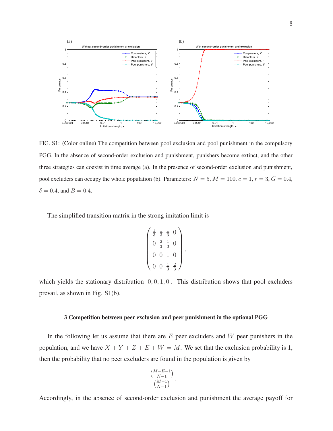

<span id="page-24-0"></span>FIG. S1: (Color online) The competition between pool exclusion and pool punishment in the compulsory PGG. In the absence of second-order exclusion and punishment, punishers become extinct, and the other three strategies can coexist in time average (a). In the presence of second-order exclusion and punishment, pool excluders can occupy the whole population (b). Parameters:  $N = 5$ ,  $M = 100$ ,  $c = 1$ ,  $r = 3$ ,  $G = 0.4$ ,  $\delta = 0.4$ , and  $B = 0.4$ .

The simplified transition matrix in the strong imitation limit is

$$
\begin{pmatrix}\n\frac{1}{3} & \frac{1}{3} & \frac{1}{3} & 0 \\
0 & \frac{2}{3} & \frac{1}{3} & 0 \\
0 & 0 & 1 & 0 \\
0 & 0 & \frac{1}{3} & \frac{2}{3}\n\end{pmatrix},
$$

which yields the stationary distribution  $[0, 0, 1, 0]$ . This distribution shows that pool excluders prevail, as shown in Fig. S1(b).

### 3 Competition between peer exclusion and peer punishment in the optional PGG

In the following let us assume that there are  $E$  peer excluders and  $W$  peer punishers in the population, and we have  $X + Y + Z + E + W = M$ . We set that the exclusion probability is 1, then the probability that no peer excluders are found in the population is given by

$$
\frac{\binom{M-E-1}{N-1}}{\binom{M-1}{N-1}}.
$$

Accordingly, in the absence of second-order exclusion and punishment the average payoff for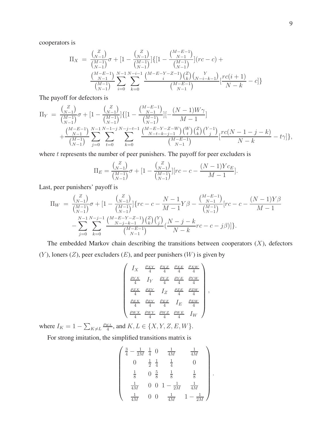cooperators is

$$
\Pi_X = \frac{\binom{Z}{N-1}}{\binom{M-1}{N-1}} \sigma + \left[1 - \frac{\binom{Z}{N-1}}{\binom{M-1}{N-1}}\right] \left\{ \left[1 - \frac{\binom{M-E-1}{N-1}}{\binom{M-1}{N-1}}\right] (rc - c) + \frac{\binom{M-E-1}{N-1}}{\binom{M-1}{N-1}} \sum_{i=0}^{N-1} \sum_{k=0}^{N-i-1} \frac{\binom{M-E-Y-Z-1}{i} \binom{Z}{k} \binom{Y}{N-i-k-1}}{\binom{M-E-1}{N-1}} \left\lfloor \frac{rc(i+1)}{N-k} - c \right\rfloor \right\}
$$

The payoff for defectors is

$$
\Pi_{Y} = \frac{\binom{Z}{N-1}}{\binom{M-1}{N-1}} \sigma + \left[1 - \frac{\binom{Z}{N-1}}{\binom{M-1}{N-1}}\right] \left\{ \left[1 - \frac{\binom{M-E-1}{N-1}}{\binom{M-1}{N-1}}\right] \left[-\frac{\binom{N-1}{N}W\gamma}{M-1}\right] + \frac{\binom{M-E-1}{N-1}}{\binom{M-1}{N-1}} \sum_{j=0}^{N-1} \sum_{t=0}^{N-j-t-1} \sum_{k=0}^{\binom{M-E-Y-Z-W}{N-t-k-j-1}} \binom{W}{t} \binom{Z}{k} \binom{Y-1}{j}}{\binom{M-E-1}{N-k}} \left[\frac{rc(N-1-j-k)}{N-k} - t\gamma\right],
$$

where  $t$  represents the number of peer punishers. The payoff for peer excluders is

$$
\Pi_E = \frac{\binom{Z}{N-1}}{\binom{M-1}{N-1}} \sigma + \left[1 - \frac{\binom{Z}{N-1}}{\binom{M-1}{N-1}}\right] \left[ rc - c - \frac{(N-1)Yc_E}{M-1} \right].
$$

Last, peer punishers' payoff is

$$
\Pi_W = \frac{\binom{Z}{N-1}}{\binom{M-1}{N-1}} \sigma + \left[1 - \frac{\binom{Z}{N-1}}{\binom{M-1}{N-1}}\right] \{rc - c - \frac{N-1}{M-1}Y\beta - \frac{\binom{M-E-1}{N-1}}{\binom{M-1}{N-1}}[rc - c - \frac{(N-1)Y\beta}{M-1} - \sum_{j=0}^{N-1} \sum_{k=0}^{N-j-1} \frac{\binom{M-E-Y-Z-1}{N-j-k-1} \binom{Z}{k} \binom{Y}{j}}{\binom{M-E-1}{N-1}} \left(\frac{N-j-k}{N-k}rc - c - j\beta\right)\}.
$$

The embedded Markov chain describing the transitions between cooperators  $(X)$ , defectors  $(Y)$ , loners  $(Z)$ , peer excluders  $(E)$ , and peer punishers  $(W)$  is given by

$$
\left(\begin{array}{ccccc}I_X & \frac{\rho_{XY}}{4} & \frac{\rho_{XZ}}{4} & \frac{\rho_{XE}}{4} & \frac{\rho_{XW}}{4} \\ \frac{\rho_{YX}}{4} & I_Y & \frac{\rho_{YZ}}{4} & \frac{\rho_{YE}}{4} & \frac{\rho_{YW}}{4} \\ \frac{\rho_{ZX}}{4} & \frac{\rho_{ZY}}{4} & I_Z & \frac{\rho_{ZE}}{4} & \frac{\rho_{ZW}}{4} \\ \frac{\rho_{EX}}{4} & \frac{\rho_{EY}}{4} & \frac{\rho_{EZ}}{4} & I_E & \frac{\rho_{EW}}{4} \\ \frac{\rho_{WX}}{4} & \frac{\rho_{WY}}{4} & \frac{\rho_{WZ}}{4} & \frac{\rho_{WE}}{4} & I_W \end{array}\right)
$$

,

.

where  $I_K = 1 - \sum_{K \neq L}$  $\rho_{KL}$  $\frac{KL}{4}$ , and  $K, L \in \{X, Y, Z, E, W\}$ .

For strong imitation, the simplified transitions matrix is

$$
\begin{pmatrix}\n\frac{3}{4} - \frac{1}{2M} & \frac{1}{4} & 0 & \frac{1}{4M} & \frac{1}{4M} \\
0 & \frac{1}{2} & \frac{1}{4} & \frac{1}{4} & 0 \\
\frac{1}{8} & 0 & \frac{5}{8} & \frac{1}{8} & \frac{1}{8} \\
\frac{1}{4M} & 0 & 0 & 1 - \frac{1}{2M} & \frac{1}{4M} \\
\frac{1}{4M} & 0 & 0 & \frac{1}{4M} & 1 - \frac{1}{2M}\n\end{pmatrix}
$$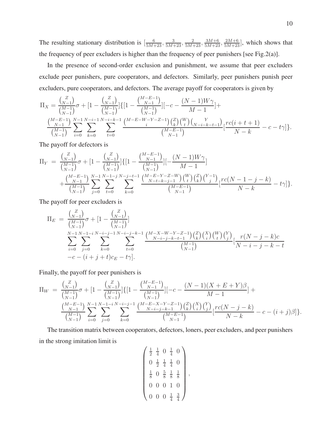The resulting stationary distribution is  $\left[\frac{6}{5M+23}, \frac{3}{5M+23}, \frac{2}{5M+23}, \frac{3M+6}{5M+23}, \frac{2M+6}{5M+23}\right]$ , which shows that the frequency of peer excluders is higher than the frequency of peer punishers [see Fig.2(a)].

In the presence of second-order exclusion and punishment, we assume that peer excluders exclude peer punishers, pure cooperators, and defectors. Similarly, peer punishers punish peer excluders, pure cooperators, and defectors. The average payoff for cooperators is given by

$$
\Pi_X = \frac{\binom{Z}{N-1}}{\binom{M-1}{N-1}} \sigma + \left[1 - \frac{\binom{Z}{N-1}}{\binom{M-1}{N-1}}\right] \left\{ \left[1 - \frac{\binom{M-E-1}{N-1}}{\binom{M-1}{N-1}}\right] \left[-c - \frac{\binom{N-1}{N-1}}{M-1}\right] + \frac{\binom{M-E-1}{N-1}}{\binom{M-1}{N-1}} \sum_{i=0}^{N-1} \sum_{k=0}^{N-i-k} \sum_{t=0}^{N-i-k-1} \frac{\binom{M-E-W-Y-Z-1}{i} \binom{Z}{k} \binom{W}{t} \binom{Y}{N-i-k-t-1}}{\binom{M-E-1}{N-1}} \left[\frac{rc(i+t+1)}{N-k} - c - t\gamma\right] \right\}.
$$

The payoff for defectors is

$$
\Pi_{Y} = \frac{\binom{Z}{N-1}}{\binom{M-1}{N-1}} \sigma + \left[1 - \frac{\binom{Z}{N-1}}{\binom{M-1}{N-1}}\right] \left\{ \left[1 - \frac{\binom{M-E-1}{N-1}}{\binom{M-1}{N-1}}\right] \left[-\frac{\binom{N-1}{N}W\gamma}{M-1}\right] + \frac{\binom{M-E-1}{N-1}}{\binom{M-1}{N-1}} \sum_{j=0}^{N-1} \sum_{t=0}^{N-j-t-1} \sum_{k=0}^{\binom{M-E-Y-Z-W}{N-t-k-j-1}} \binom{W}{t} \binom{Z}{k} \binom{Y-1}{j}}{\binom{M-E-1}{N-k}} \left[\frac{rc(N-1-j-k)}{N-k} - t\gamma\right] \right\}.
$$

The payoff for peer excluders is

$$
\Pi_E = \frac{\binom{Z}{N-1}}{\binom{M-1}{N-1}} \sigma + \left[1 - \frac{\binom{Z}{N-1}}{\binom{M-1}{N-1}}\right]
$$
\n
$$
\sum_{i=0}^{N-1} \sum_{j=0}^{N-1-i} \sum_{k=0}^{N-i-j-1} \sum_{t=0}^{N-i-j-k-1} \underbrace{\binom{M-X-W-Y-Z-1}{N-i-j-k-t-1} \binom{Z}{k} \binom{X}{i} \binom{W}{i} \binom{Y}{j}}_{\begin{subarray}{l}m-1\\N-i-j-k-t \end{subarray}} \frac{r(N-j-k)c}{N-i-j-k-t}
$$
\n
$$
-c - (i+j+t)c_E - t\gamma].
$$

Finally, the payoff for peer punishers is

$$
\Pi_W = \frac{\binom{Z}{N-1}}{\binom{M-1}{N-1}} \sigma + \left[1 - \frac{\binom{Z}{N-1}}{\binom{M-1}{N-1}}\right] \left\{ \left[1 - \frac{\binom{M-E-1}{N-1}}{\binom{M-1}{N-1}}\right] \left[-c - \frac{(N-1)(X+E+Y)\beta}{M-1}\right] + \frac{\binom{M-E-1}{N-1}}{\binom{M-1}{N-1}} \sum_{i=0}^{N-1} \sum_{j=0}^{N-1} \sum_{k=0}^{N-i-j-1} \frac{\binom{M-E-X-Y-Z-1}{N-i-j-k-1} \binom{Z}{k} \binom{Y}{i} \binom{Y}{j}}{\binom{N-E-1}{N-k}} \left[\frac{r c (N-j-k)}{N-k} - c - (i+j)\beta\right] \right\}.
$$

The transition matrix between cooperators, defectors, loners, peer excluders, and peer punishers in the strong imitation limit is

$$
\begin{pmatrix}\n\frac{1}{2} & \frac{1}{4} & 0 & \frac{1}{4} & 0 \\
0 & \frac{1}{2} & \frac{1}{4} & \frac{1}{4} & 0 \\
\frac{1}{8} & 0 & \frac{5}{8} & \frac{1}{8} & \frac{1}{8} \\
0 & 0 & 0 & 1 & 0 \\
0 & 0 & 0 & \frac{1}{4} & \frac{3}{4}\n\end{pmatrix},
$$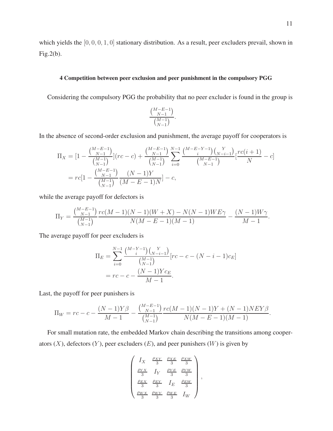which yields the [0, 0, 0, 1, 0] stationary distribution. As a result, peer excluders prevail, shown in  $Fig.2(b).$ 

# 4 Competition between peer exclusion and peer punishment in the compulsory PGG

Considering the compulsory PGG the probability that no peer excluder is found in the group is

$$
\frac{\binom{M-E-1}{N-1}}{\binom{M-1}{N-1}}.
$$

In the absence of second-order exclusion and punishment, the average payoff for cooperators is

$$
\Pi_X = \left[1 - \frac{\binom{M-E-1}{N-1}}{\binom{M-1}{N-1}}\right](rc - c) + \frac{\binom{M-E-1}{N-1}}{\binom{M-1}{N-1}} \sum_{i=0}^{N-1} \frac{\binom{M-E-Y-1}{i}\binom{Y}{N-i-1}}{\binom{M-E-1}{N-1}} \left[\frac{rc(i+1)}{N} - c\right]
$$

$$
= rc[1 - \frac{\binom{M-E-1}{N-1}}{\binom{M-1}{N-1}} \frac{(N-1)Y}{(M-E-1)N}] - c,
$$

while the average payoff for defectors is

$$
\Pi_Y = \frac{\binom{M-E-1}{N-1}}{\binom{M-1}{N-1}} \frac{rc(M-1)(N-1)(W+X) - N(N-1)WE\gamma}{N(M-E-1)(M-1)} - \frac{(N-1)W\gamma}{M-1}.
$$

The average payoff for peer excluders is

$$
\Pi_E = \sum_{i=0}^{N-1} \frac{\binom{M-Y-1}{i} \binom{Y}{N-i-1}}{\binom{M-1}{N-1}} [rc - c - (N-i-1)c_E]
$$
  
=  $rc - c - \frac{(N-1)Yc_E}{M-1}.$ 

Last, the payoff for peer punishers is

$$
\Pi_W = rc - c - \frac{(N-1)Y\beta}{M-1} - \frac{\binom{M-E-1}{N-1}}{\binom{M-1}{N-1}} \frac{rc(M-1)(N-1)Y + (N-1)NEY\beta}{N(M-E-1)(M-1)}.
$$

For small mutation rate, the embedded Markov chain describing the transitions among cooperators  $(X)$ , defectors  $(Y)$ , peer excluders  $(E)$ , and peer punishers  $(W)$  is given by

$$
\begin{pmatrix}\nI_X & \frac{\rho_{XY}}{3} & \frac{\rho_{XE}}{3} & \frac{\rho_{XW}}{3} \\
\frac{\rho_{YX}}{3} & I_Y & \frac{\rho_{YE}}{3} & \frac{\rho_{YW}}{3} \\
\frac{\rho_{EX}}{3} & \frac{\rho_{EY}}{3} & I_E & \frac{\rho_{EW}}{3} \\
\frac{\rho_{WX}}{3} & \frac{\rho_{WY}}{3} & \frac{\rho_{WE}}{3} & I_W\n\end{pmatrix},
$$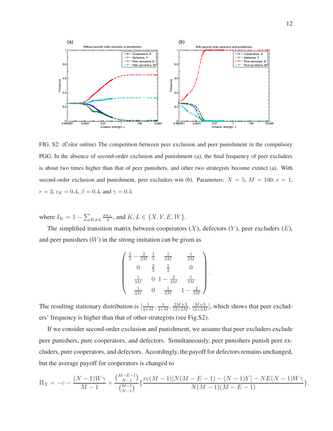

<span id="page-28-0"></span>FIG. S2: (Color online) The competition between peer exclusion and peer punishment in the compulsory PGG. In the absence of second-order exclusion and punishment (a), the final frequency of peer excluders is about two times higher than that of peer punishers, and other two strategists become extinct (a). With second-order exclusion and punishment, peer excluders win (b). Parameters:  $N = 5$ ,  $M = 100$ ,  $c = 1$ ,  $r = 3$ ,  $c_E = 0.4$ ,  $\beta = 0.4$ , and  $\gamma = 0.4$ .

where  $I_K = 1 - \sum_{K \neq L}$  $\rho_{KL}$  $\frac{KL}{3}$ , and  $K, L \in \{X, Y, E, W\}.$ 

The simplified transition matrix between cooperators  $(X)$ , defectors  $(Y)$ , peer excluders  $(E)$ , and peer punishers  $(W)$  in the strong imitation can be given as

$$
\begin{pmatrix}\n\frac{2}{3} - \frac{2}{3M} & \frac{1}{3} & \frac{1}{3M} & \frac{1}{3M} \\
0 & \frac{2}{3} & \frac{1}{3} & 0 \\
\frac{1}{3M} & 0 & 1 - \frac{2}{3M} & \frac{1}{3M} \\
\frac{1}{3M} & 0 & \frac{1}{3M} & 1 - \frac{2}{3M}\n\end{pmatrix}
$$

.

The resulting stationary distribution is  $\left[\frac{1}{4+}\right]$  $\frac{1}{4+M}$ ,  $\frac{1}{4+$  $\frac{1}{4+M}$ ,  $\frac{2M+3}{12+3M}$  $\frac{2M+3}{12+3M}$ ,  $\frac{M+3}{12+3M}$  $\frac{M+3}{12+3M}$ , which shows that peer excluders' frequency is higher than that of other strategists (see Fig.S2).

If we consider second-order exclusion and punishment, we assume that peer excluders exclude peer punishers, pure cooperators, and defectors. Simultaneously, peer punishers punish peer excluders, pure cooperators, and defectors. Accordingly, the payoff for defectors remains unchanged, but the average payoff for cooperators is changed to

$$
\Pi_X = -c - \frac{(N-1)W\gamma}{M-1} + \frac{\binom{M-E-1}{N-1}}{\binom{M-1}{N-1}} \{ \frac{rc(M-1)[N(M-E-1)-(N-1)Y] - NE(N-1)W\gamma}{N(M-1)(M-E-1)} \}.
$$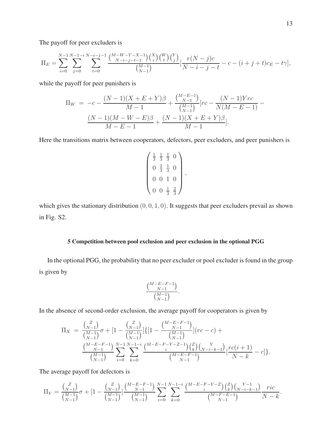The payoff for peer excluders is

$$
\Pi_E = \sum_{i=0}^{N-1} \sum_{j=0}^{N-1-i} \sum_{t=0}^{N-i-j-1} \frac{\binom{M-W-Y-X-1}{N-i-j-t-1} \binom{X}{i} \binom{W}{t} \binom{Y}{j}}{\binom{M-1}{N-i-j-t}} \left[ \frac{r(N-j)c}{N-i-j-t} - c - (i+j+t)c_E - t\gamma \right],
$$

while the payoff for peer punishers is

$$
\Pi_W = -c - \frac{(N-1)(X+E+Y)\beta}{M-1} + \frac{\binom{M-E-1}{N-1}}{\binom{M-1}{N-1}} [rc - \frac{(N-1)Yrc}{N(M-E-1)} - \frac{(N-1)(M-W-E)\beta}{M-E-1} + \frac{(N-1)(X+E+Y)\beta}{M-1}].
$$

Here the transitions matrix between cooperators, defectors, peer excluders, and peer punishers is

$$
\begin{pmatrix}\n\frac{1}{3} & \frac{1}{3} & \frac{1}{3} & 0 \\
0 & \frac{2}{3} & \frac{1}{3} & 0 \\
0 & 0 & 1 & 0 \\
0 & 0 & \frac{1}{3} & \frac{2}{3}\n\end{pmatrix},
$$

which gives the stationary distribution  $(0, 0, 1, 0)$ . It suggests that peer excluders prevail as shown in Fig. S2.

# 5 Competition between pool exclusion and peer exclusion in the optional PGG

In the optional PGG, the probability that no peer excluder or pool excluder is found in the group is given by

$$
\frac{\binom{M-E-F-1}{N-1}}{\binom{M-1}{N-1}}.
$$

In the absence of second-order exclusion, the average payoff for cooperators is given by

$$
\Pi_X = \frac{\binom{Z}{N-1}}{\binom{M-1}{N-1}} \sigma + \left[1 - \frac{\binom{Z}{N-1}}{\binom{M-1}{N-1}}\right] \left\{ \left[1 - \frac{\binom{M-E-F-1}{N-1}}{\binom{M-1}{N-1}}\right] (rc - c) + \frac{\binom{M-E-F-1}{N-1}}{\binom{M-1}{N-1}} \sum_{i=0}^{N-1} \sum_{k=0}^{N-1-i} \frac{\binom{M-E-F-Y-Z-1}{i} \binom{Z}{k} \binom{Y}{N-i-k-1}}{\binom{M-E-F-1}{N-1}} \left[\frac{rc(i+1)}{N-k} - c\right] \right\}.
$$

The average payoff for defectors is

$$
\Pi_Y = \frac{\binom{Z}{N-1}}{\binom{M-1}{N-1}} \sigma + \left[1 - \frac{\binom{Z}{N-1}}{\binom{M-1}{N-1}}\right] \frac{\binom{M-E-F-1}{N-1}}{\binom{M-1}{N-1}} \sum_{i=0}^{N-1} \sum_{k=0}^{N-1-i} \frac{\binom{M-E-F-Y-Z}{i}\binom{Z}{k}\binom{Y-1}{N-i-k-1}}{\binom{M-F-E-1}{N-1}} \frac{ric}{N-k}.
$$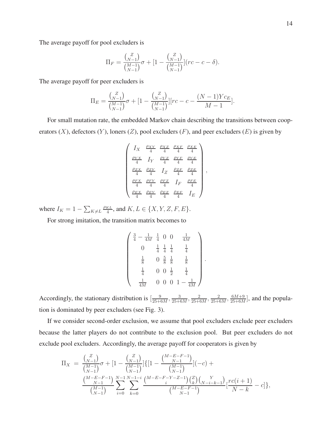The average payoff for pool excluders is

$$
\Pi_F = \frac{\binom{Z}{N-1}}{\binom{M-1}{N-1}} \sigma + \left[1 - \frac{\binom{Z}{N-1}}{\binom{M-1}{N-1}}\right] (rc - c - \delta).
$$

The average payoff for peer excluders is

$$
\Pi_E = \frac{\binom{Z}{N-1}}{\binom{M-1}{N-1}} \sigma + \left[1 - \frac{\binom{Z}{N-1}}{\binom{M-1}{N-1}}\right] \left[ rc - c - \frac{(N-1)Yc_E}{M-1} \right].
$$

For small mutation rate, the embedded Markov chain describing the transitions between cooperators  $(X)$ , defectors  $(Y)$ , loners  $(Z)$ , pool excluders  $(F)$ , and peer excluders  $(E)$  is given by

$$
\left(\begin{array}{ccccc}I_X & \frac{\rho_{XY}}{4} & \frac{\rho_{XZ}}{4} & \frac{\rho_{XF}}{4} & \frac{\rho_{XE}}{4} \\ \frac{\rho_{YX}}{4} & I_Y & \frac{\rho_{YZ}}{4} & \frac{\rho_{YE}}{4} & \frac{\rho_{YE}}{4} \\ \frac{\rho_{ZX}}{4} & \frac{\rho_{ZY}}{4} & I_Z & \frac{\rho_{ZF}}{4} & \frac{\rho_{ZE}}{4} \\ \frac{\rho_{FX}}{4} & \frac{\rho_{FY}}{4} & \frac{\rho_{FZ}}{4} & I_F & \frac{\rho_{FE}}{4} \\ \frac{\rho_{EX}}{4} & \frac{\rho_{EY}}{4} & \frac{\rho_{EZ}}{4} & \frac{\rho_{EF}}{4} & I_E \end{array}\right),
$$

where  $I_K = 1 - \sum_{K \neq L}$  $\rho_{KL}$  $\frac{KL}{4}$ , and  $K, L \in \{X, Y, Z, F, E\}.$ 

For strong imitation, the transition matrix becomes to

$$
\begin{pmatrix}\n\frac{3}{4} - \frac{1}{4M} & \frac{1}{4} & 0 & 0 & \frac{1}{4M} \\
0 & \frac{1}{4} & \frac{1}{4} & \frac{1}{4} & \frac{1}{4} \\
\frac{1}{8} & 0 & \frac{5}{8} & \frac{1}{8} & \frac{1}{8} \\
\frac{1}{4} & 0 & 0 & \frac{1}{2} & \frac{1}{4} \\
\frac{1}{4M} & 0 & 0 & 0 & 1 - \frac{1}{4M}\n\end{pmatrix}
$$

.

Accordingly, the stationary distribution is  $\left[\frac{9}{25+4}\right]$  $\frac{9}{25+6M}$ ,  $\frac{3}{25+6}$  $\frac{3}{25+6M}, \frac{2}{25+6}$  $\frac{2}{25+6M}, \frac{2}{25+6}$  $\frac{2}{25+6M}$ ,  $\frac{6M+9}{25+6M}$  $\frac{6M+9}{25+6M}$ , and the population is dominated by peer excluders (see Fig. 3).

If we consider second-order exclusion, we assume that pool excluders exclude peer excluders because the latter players do not contribute to the exclusion pool. But peer excluders do not exclude pool excluders. Accordingly, the average payoff for cooperators is given by

$$
\Pi_X = \frac{\binom{Z}{N-1}}{\binom{M-1}{N-1}} \sigma + \left[1 - \frac{\binom{Z}{N-1}}{\binom{M-1}{N-1}}\right] \left\{ \left[1 - \frac{\binom{M-E-F-1}{N-1}}{\binom{M-1}{N-1}}\right](-c) + \frac{\binom{M-E-F-1}{N-1}}{\binom{M-1}{N-1}} \sum_{i=0}^{N-1} \sum_{k=0}^{N-1-i} \frac{\binom{M-E-F-Y-Z-1}{i} \binom{Z}{k} \binom{Y}{N-i-k-1}}{\binom{M-E-F-1}{N-1}} \left[\frac{rc(i+1)}{N-k} - c\right],
$$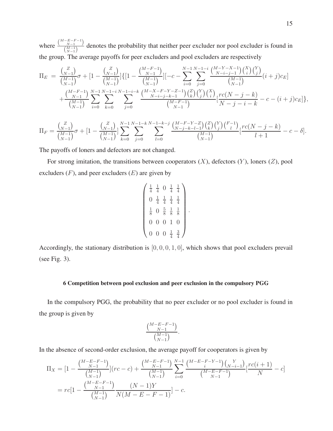where  $\frac{\binom{M-E-F-1}{N-1}}{\binom{M-1}{N}}$  $\frac{N-1}{\binom{M-1}{N-1}}$  denotes the probability that neither peer excluder nor pool excluder is found in the group. The average payoffs for peer excluders and pool excluders are respectively

$$
\Pi_E = \frac{\binom{Z}{N-1}}{\binom{M-1}{N-1}} \sigma + \left[1 - \frac{\binom{Z}{N-1}}{\binom{M-1}{N-1}}\right] \left\{ \left[1 - \frac{\binom{M-F-1}{N-1}}{\binom{M-1}{N-1}}\right] \left[-c - \sum_{i=0}^{N-1} \sum_{j=0}^{N-1-i} \frac{\binom{M-Y-X-1}{N-i-j-1} \binom{X}{i} \binom{Y}{j}}{\binom{M-1}{N-1}} (i+j)c_E \right] + \frac{\binom{M-F-1}{N-1}}{\binom{M-1}{N-1}} \sum_{i=0}^{N-1} \sum_{k=0}^{N-1-i-k} \sum_{j=0}^{N-1-i-k} \frac{\binom{M-X-F-Y-Z-1}{N-i-j-k-1} \binom{Z}{k} \binom{Y}{j} \binom{X}{i}}{\binom{N}{N-i-j} \left[\frac{rc(N-j-k)}{N-j-i-k} - c - (i+j)c_E\right]},
$$

$$
\Pi_F = \frac{\binom{Z}{N-1}}{\binom{M-1}{N-1}} \sigma + \left[1 - \frac{\binom{Z}{N-1}}{\binom{M-1}{N-1}}\right] \sum_{k=0}^{N-1} \sum_{j=0}^{N-1-k} \sum_{l=0}^{N-1-k-j} \frac{\binom{M-F-Y-Z}{N-j-k-l-1} \binom{Z}{k} \binom{Y}{j} \binom{F-1}{l}}{\binom{M-1}{N-1}} \left[\frac{rc(N-j-k)}{l+1} - c - \delta\right].
$$

The payoffs of loners and defectors are not changed.

For strong imitation, the transitions between cooperators  $(X)$ , defectors  $(Y)$ , loners  $(Z)$ , pool excluders  $(F)$ , and peer excluders  $(E)$  are given by

$$
\begin{pmatrix}\n\frac{1}{4} & \frac{1}{4} & 0 & \frac{1}{4} & \frac{1}{4} \\
0 & \frac{1}{4} & \frac{1}{4} & \frac{1}{4} & \frac{1}{4} \\
\frac{1}{8} & 0 & \frac{5}{8} & \frac{1}{8} & \frac{1}{8} \\
0 & 0 & 0 & 1 & 0 \\
0 & 0 & 0 & \frac{1}{4} & \frac{3}{4}\n\end{pmatrix}
$$

.

Accordingly, the stationary distribution is  $[0, 0, 0, 1, 0]$ , which shows that pool excluders prevail (see Fig. 3).

### 6 Competition between pool exclusion and peer exclusion in the compulsory PGG

In the compulsory PGG, the probability that no peer excluder or no pool excluder is found in the group is given by

$$
\frac{\binom{M-E-F-1}{N-1}}{\binom{M-1}{N-1}}.
$$

In the absence of second-order exclusion, the average payoff for cooperators is given by

$$
\Pi_X = \left[1 - \frac{\binom{M-E-F-1}{N-1}}{\binom{M-1}{N-1}}\right](rc - c) + \frac{\binom{M-E-F-1}{N-1}}{\binom{M-1}{N-1}} \sum_{i=0}^{N-1} \frac{\binom{M-E-F-Y-1}{i}\binom{Y}{N-i-1}}{\binom{M-E-F-1}{N-1}} \left[\frac{rc(i+1)}{N} - c\right]
$$
\n
$$
= rc[1 - \frac{\binom{M-E-F-1}{N-1}}{\binom{M-1}{N-1}} \frac{(N-1)Y}{N(M-E-F-1)}\right] - c.
$$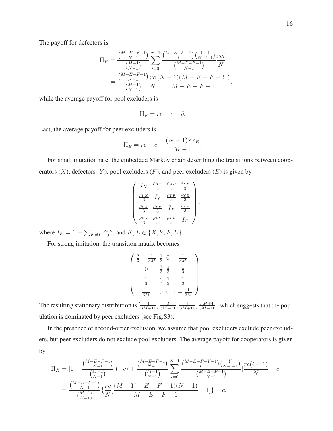The payoff for defectors is

$$
\Pi_Y = \frac{\binom{M-E-F-1}{N-1}}{\binom{M-1}{N-1}} \sum_{i=0}^{N-1} \frac{\binom{M-E-F-Y}{i} \binom{Y-1}{N-i-1}}{\binom{M-E-F-1}{N-1}} \frac{rci}{N}
$$

$$
= \frac{\binom{M-E-F-1}{N-1}}{\binom{M-1}{N-1}} \frac{rc}{N} \frac{(N-1)(M-E-F-Y)}{M-E-F-1},
$$

while the average payoff for pool excluders is

$$
\Pi_F = rc - c - \delta.
$$

Last, the average payoff for peer excluders is

$$
\Pi_E = rc - c - \frac{(N-1)Yc_E}{M-1}.
$$

For small mutation rate, the embedded Markov chain describing the transitions between cooperators  $(X)$ , defectors  $(Y)$ , pool excluders  $(F)$ , and peer excluders  $(E)$  is given by

$$
\begin{pmatrix}\nI_X & \frac{\rho_{XY}}{3} & \frac{\rho_{XF}}{3} & \frac{\rho_{XE}}{3} \\
\frac{\rho_{YX}}{3} & I_Y & \frac{\rho_{YF}}{3} & \frac{\rho_{YE}}{3} \\
\frac{\rho_{FX}}{3} & \frac{\rho_{FY}}{3} & I_F & \frac{\rho_{FE}}{3} \\
\frac{\rho_{EX}}{3} & \frac{\rho_{EY}}{3} & \frac{\rho_{EF}}{3} & I_E\n\end{pmatrix}
$$

,

.

where  $I_K = 1 - \sum_{K \neq L}$  $\rho_{KL}$  $\frac{KL}{3}$ , and  $K, L \in \{X, Y, F, E\}.$ 

For strong imitation, the transition matrix becomes

$$
\begin{pmatrix}\n\frac{2}{3} - \frac{1}{3M} & \frac{1}{3} & 0 & \frac{1}{3M} \\
0 & \frac{1}{3} & \frac{1}{3} & \frac{1}{3} \\
\frac{1}{3} & 0 & \frac{1}{3} & \frac{1}{3} \\
\frac{1}{3M} & 0 & 0 & 1 - \frac{1}{3M}\n\end{pmatrix}
$$

The resulting stationary distribution is  $\left[\frac{4}{3M+11}, \frac{2}{3M+11}, \frac{1}{3M+11}, \frac{3M+4}{3M+11}\right]$ , which suggests that the population is dominated by peer excluders (see Fig.S3).

In the presence of second-order exclusion, we assume that pool excluders exclude peer excluders, but peer excluders do not exclude pool excluders. The average payoff for cooperators is given by

$$
\Pi_X = \left[1 - \frac{\binom{M - E - F - 1}{N - 1}}{\binom{M - 1}{N - 1}}\right](-c) + \frac{\binom{M - E - F - 1}{N - 1}}{\binom{M - 1}{N - 1}} \sum_{i=0}^{N-1} \frac{\binom{M - E - F - Y - 1}{i}\binom{Y}{N - i-1}}{\binom{M - E - F - 1}{N - 1}} \left[\frac{rc(i+1)}{N} - c\right]
$$
\n
$$
= \frac{\binom{M - E - F - 1}{N - 1}}{\binom{M - 1}{N - 1}} \left\{\frac{rc}{N} \left[\frac{(M - Y - E - F - 1)(N - 1)}{M - E - F - 1} + 1\right]\right\} - c.
$$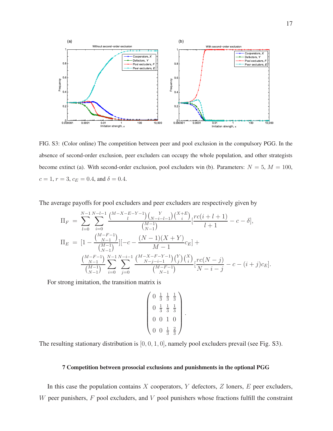

<span id="page-33-0"></span>FIG. S3: (Color online) The competition between peer and pool exclusion in the compulsory PGG. In the absence of second-order exclusion, peer excluders can occupy the whole population, and other strategists become extinct (a). With second-order exclusion, pool excluders win (b). Parameters:  $N = 5$ ,  $M = 100$ ,  $c = 1, r = 3, c_E = 0.4,$  and  $\delta = 0.4$ .

The average payoffs for pool excluders and peer excluders are respectively given by

$$
\Pi_F = \sum_{l=0}^{N-1} \sum_{i=0}^{N-l-1} \frac{\binom{M-X-E-Y-1}{l} \binom{Y}{N-i-l-1} \binom{X+E}{i}}{\binom{M-1}{N-1}} \left[ \frac{rc(i+l+1)}{l+1} - c - \delta \right],
$$
\n
$$
\Pi_E = \left[ 1 - \frac{\binom{M-F-1}{N-1}}{\binom{M-1}{N-1}} \right] \left[ -c - \frac{(N-1)(X+Y)}{M-1} c_E \right] +
$$
\n
$$
\frac{\binom{M-F-1}{N-1}}{\binom{M-1}{N-1}} \sum_{i=0}^{N-1} \sum_{j=0}^{N-i-1} \frac{\binom{M-X-F-Y-1}{N-j-i-1} \binom{Y}{j} \binom{X}{i}}{\binom{N-K-1}{N-1}} \left[ \frac{rc(N-j)}{N-i-j} - c - (i+j)c_E \right].
$$

For strong imitation, the transition matrix is

$$
\begin{pmatrix} 0 & \frac{1}{3} & \frac{1}{3} & \frac{1}{3} \\ 0 & \frac{1}{3} & \frac{1}{3} & \frac{1}{3} \\ 0 & 0 & 1 & 0 \\ 0 & 0 & \frac{1}{3} & \frac{2}{3} \end{pmatrix}.
$$

The resulting stationary distribution is  $[0, 0, 1, 0]$ , namely pool excluders prevail (see Fig. S3).

### 7 Competition between prosocial exclusions and punishments in the optional PGG

In this case the population contains  $X$  cooperators,  $Y$  defectors,  $Z$  loners,  $E$  peer excluders, W peer punishers,  $F$  pool excluders, and  $V$  pool punishers whose fractions fulfill the constraint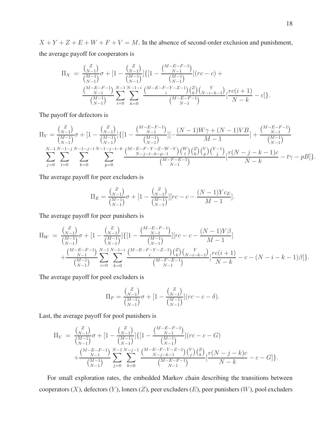$X + Y + Z + E + W + F + V = M$ . In the absence of second-order exclusion and punishment, the average payoff for cooperators is

$$
\Pi_X = \frac{\binom{Z}{N-1}}{\binom{M-1}{N-1}} \sigma + \left[1 - \frac{\binom{Z}{N-1}}{\binom{M-1}{N-1}}\right] \left\{ \left[1 - \frac{\binom{M-E-F-1}{N-1}}{\binom{M-1}{N-1}}\right] (rc - c) + \frac{\binom{M-E-F-1}{N-1}}{\binom{M-1}{N-1}} \sum_{i=0}^{N-1} \sum_{k=0}^{N-1-i} \frac{\binom{M-E-F-Y-Z-1}{i} \binom{Z}{k} \binom{Y}{N-i-k-1}}{\binom{M-E-F-1}{N-1}} \left[ \frac{rc(i+1)}{N-k} - c \right] \right\}.
$$

The payoff for defectors is

$$
\Pi_{Y} = \frac{\binom{Z}{N-1}}{\binom{M-1}{N-1}} \sigma + \left[1 - \frac{\binom{Z}{N-1}}{\binom{M-1}{N-1}}\right] \left\{ \left[1 - \frac{\binom{M-E-F-1}{N-1}}{\binom{M-1}{N-1}}\right] \left[-\frac{(N-1)W\gamma + (N-1)VB}{M-1}\right] + \frac{\binom{M-E-F-1}{N-1}}{\binom{M-1}{N-1}} \right\}
$$
\n
$$
\sum_{j=0}^{N-1} \sum_{t=0}^{N-1-j} \sum_{k=0}^{N-1-j-t} \sum_{p=0}^{N-1-j-t-k} \frac{\binom{M-E-F-Y-Z-W-V}{N-j-t-k-p-1} \binom{W}{t} \binom{Z}{k} \binom{V}{p} \binom{Y-1}{j}}{\binom{M-F-E-1}{N-1}} \left[\frac{r(N-j-k-1)c}{N-k} - t\gamma - pB\right] \}.
$$

The average payoff for peer excluders is

$$
\Pi_E = \frac{\binom{Z}{N-1}}{\binom{M-1}{N-1}} \sigma + \left[1 - \frac{\binom{Z}{N-1}}{\binom{M-1}{N-1}}\right] \left[ rc - c - \frac{(N-1)Yc_E}{M-1} \right].
$$

The average payoff for peer punishers is

$$
\Pi_W = \frac{\binom{Z}{N-1}}{\binom{M-1}{N-1}} \sigma + \left[1 - \frac{\binom{Z}{N-1}}{\binom{M-1}{N-1}}\right] \left\{ \left[1 - \frac{\binom{M-E-F-1}{N-1}}{\binom{M-1}{N-1}}\right] \left[ rc - c - \frac{\binom{N-1}{N-1}}{M-1} \right] \right\} + \frac{\binom{M-E-F-1}{N-1}}{\binom{M-1}{N-1}} \sum_{i=0}^{N-1} \sum_{k=0}^{N-1-i} \frac{\binom{M-E-F-Y-Z-1}{i} \binom{Z}{k} \binom{Y}{N-i-k-1}}{\binom{M-F-E-1}{N-1}} \left[ \frac{rc(i+1)}{N-k} - c - (N-i-k-1)\beta \right] \right\}.
$$

The average payoff for pool excluders is

$$
\Pi_F = \frac{\binom{Z}{N-1}}{\binom{M-1}{N-1}} \sigma + \left[1 - \frac{\binom{Z}{N-1}}{\binom{M-1}{N-1}}\right] (rc - c - \delta).
$$

Last, the average payoff for pool punishers is

$$
\Pi_V = \frac{\binom{Z}{N-1}}{\binom{M-1}{N-1}} \sigma + \left[1 - \frac{\binom{Z}{N-1}}{\binom{M-1}{N-1}}\right] \left\{ \left[1 - \frac{\binom{M-E-F-1}{N-1}}{\binom{M-1}{N-1}}\right] (rc - c - G) + \frac{\binom{M-E-F-1}{N-1}}{\binom{M-1}{N-1}} \sum_{j=0}^{N-1} \sum_{k=0}^{N-j-1} \frac{\binom{M-E-F-Y-Z-1}{N-j-k-1} \binom{Y}{j} \binom{Z}{k}}{\binom{M-E-F-1}{N-1}} \left[\frac{r(N-j-k)c}{N-k} - c - G\right] \right\}.
$$

For small exploration rates, the embedded Markov chain describing the transitions between cooperators  $(X)$ , defectors  $(Y)$ , loners  $(Z)$ , peer excluders  $(E)$ , peer punishers  $(W)$ , pool excluders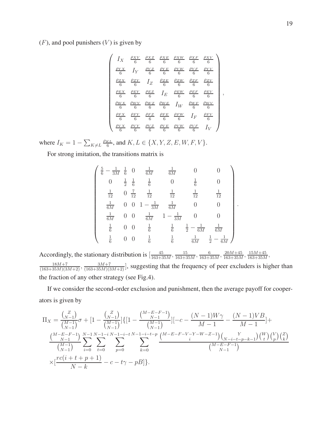$(F)$ , and pool punishers  $(V)$  is given by

$$
\left(\begin{array}{cccccc} I_X & \frac{\rho_{XY}}{6} & \frac{\rho_{XZ}}{6} & \frac{\rho_{XE}}{6} & \frac{\rho_{XW}}{6} & \frac{\rho_{XF}}{6} & \frac{\rho_{XV}}{6} \\ \frac{\rho_{YX}}{6} & I_Y & \frac{\rho_{YZ}}{6} & \frac{\rho_{YE}}{6} & \frac{\rho_{YW}}{6} & \frac{\rho_{YF}}{6} & \frac{\rho_{YV}}{6} \\ \frac{\rho_{ZX}}{6} & \frac{\rho_{ZY}}{6} & I_Z & \frac{\rho_{ZE}}{6} & \frac{\rho_{ZW}}{6} & \frac{\rho_{ZF}}{6} & \frac{\rho_{ZV}}{6} \\ \frac{\rho_{EX}}{6} & \frac{\rho_{EY}}{6} & \frac{\rho_{EE}}{6} & I_E & \frac{\rho_{EW}}{6} & \frac{\rho_{EF}}{6} & \frac{\rho_{EV}}{6} \\ \frac{\rho_{WX}}{6} & \frac{\rho_{WY}}{6} & \frac{\rho_{WZ}}{6} & \frac{\rho_{WE}}{6} & I_W & \frac{\rho_{WF}}{6} & \frac{\rho_{WV}}{6} \\ \frac{\rho_{FX}}{6} & \frac{\rho_{FY}}{6} & \frac{\rho_{FE}}{6} & \frac{\rho_{FE}}{6} & \frac{\rho_{FW}}{6} & I_F & \frac{\rho_{FV}}{6} \\ \frac{\rho_{VX}}{6} & \frac{\rho_{VY}}{6} & \frac{\rho_{VE}}{6} & \frac{\rho_{VE}}{6} & \frac{\rho_{VW}}{6} & \frac{\rho_{VF}}{6} & I_V \end{array}\right),
$$

where  $I_K = 1 - \sum_{K \neq L}$  $\rho_{KL}$  $\frac{KL}{6}$ , and  $K, L \in \{X, Y, Z, E, W, F, V\}.$ 

For strong imitation, the transitions matrix is

$$
\begin{pmatrix}\n\frac{5}{6} - \frac{1}{3M} & \frac{1}{6} & 0 & \frac{1}{6M} & \frac{1}{6M} & 0 & 0 \\
0 & \frac{1}{2} & \frac{1}{6} & \frac{1}{6} & 0 & \frac{1}{6} & 0 \\
\frac{1}{12} & 0 & \frac{7}{12} & \frac{1}{12} & \frac{1}{12} & \frac{1}{12} & \frac{1}{12} \\
\frac{1}{6M} & 0 & 0 & 1 - \frac{1}{3M} & \frac{1}{6M} & 0 & 0 \\
\frac{1}{6M} & 0 & 0 & \frac{1}{6M} & 1 - \frac{1}{3M} & 0 & 0 \\
\frac{1}{6} & 0 & 0 & \frac{1}{6} & \frac{1}{6} & \frac{1}{2} - \frac{1}{6M} & \frac{1}{6M} \\
\frac{1}{6} & 0 & 0 & \frac{1}{6} & \frac{1}{6} & \frac{1}{6M} & \frac{1}{2} - \frac{1}{6M}\n\end{pmatrix}
$$

.

Accordingly, the stationary distribution is  $\left[\frac{45}{163+3}\right]$  $\frac{45}{163+35M}$ ,  $\frac{15}{163+3}$  $\frac{15}{163+35M}, \frac{6}{163+35M}$  $\frac{6}{163+35M}$ ,  $\frac{20M+45}{163+35M}$  $\frac{20M+45}{163+35M}$ ,  $\frac{15M+45}{163+35M}$  $\frac{15M+45}{163+35M}$  $\frac{18M+7}{(163+35M)(3M+2)}$ ,  $\frac{3M+7}{(163+35M)(3M+2)}$ , suggesting that the frequency of peer excluders is higher than the fraction of any other strategy (see Fig.4).

If we consider the second-order exclusion and punishment, then the average payoff for cooperators is given by

$$
\Pi_X = \frac{\binom{Z}{N-1}}{\binom{M-1}{N-1}} \sigma + \left[1 - \frac{\binom{Z}{N-1}}{\binom{M-1}{N-1}}\right] \left\{ \left[1 - \frac{\binom{M-E-F-1}{N-1}}{\binom{M-1}{N-1}}\right] \left[-c - \frac{\binom{N-1}{N-1}W\gamma}{M-1} - \frac{\binom{N-1}{N-1}WB}{M-1} \right] + \frac{\binom{M-E-F-1}{N-1}}{\binom{M-1}{N-1}} \sum_{i=0}^{N-1} \sum_{t=0}^{N-1} \sum_{p=0}^{N-1-t} \sum_{k=0}^{N-1-t-p} \frac{\binom{M-E-F-V-Y-W-Z-1}{i}\binom{N}{N-i-t-p-k-1}\binom{W}{t}\binom{Z}{p}\binom{Z}{k}}{\binom{M-E-F-1}{N-1}}
$$

$$
\times \left[ \frac{rc(i+t+p+1)}{N-k} - c - t\gamma - pB \right] \}.
$$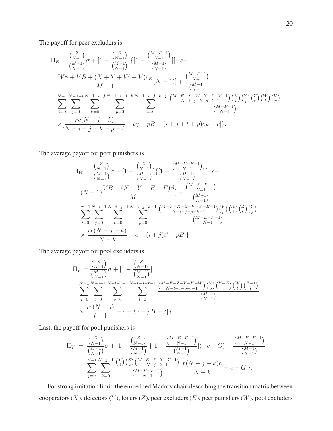The payoff for peer excluders is

$$
\Pi_E = \frac{\binom{Z}{N-1}}{\binom{M-1}{N-1}} \sigma + \left[1 - \frac{\binom{Z}{N-1}}{\binom{M-1}{N-1}}\right] \left\{ \left[1 - \frac{\binom{M-F-1}{N-1}}{\binom{M-1}{N-1}}\right] \left[-c - \frac{\binom{M}{N-1}}{\binom{M-1}{N-1}}\right] \left[-c - \frac{\binom{M}{N-1}}{\binom{M-1}{N-1}}\right] \right\}
$$
\n
$$
\frac{W\gamma + VB + (X + Y + W + V)c_E}{M-1} (N-1) + \frac{\binom{M-F-1}{N-1}}{\binom{M-1}{N-1}}
$$
\n
$$
\sum_{i=0}^{N-1} \sum_{j=0}^{N-1-i} \sum_{k=0}^{N-1-i-j-k} \sum_{p=0}^{N-1-i-j-k-p} \frac{\binom{M-F-X-W-Y-Z-V-1}{N-i-j-k-p-t-1} \binom{X}{i} \binom{Y}{j} \binom{Z}{k} \binom{W}{k} \binom{Y}{p}}{\binom{M-F-1}{N-1}}
$$
\n
$$
\times \left[ \frac{rc(N-j-k)}{N-i-j-k-p-t} - t\gamma - pB - (i+j+t+p)c_E - c \right].
$$

The average payoff for peer punishers is

$$
\Pi_W = \frac{\binom{Z}{N-1}}{\binom{M-1}{N-1}} \sigma + \left[1 - \frac{\binom{Z}{N-1}}{\binom{M-1}{N-1}}\right] \left\{ \left[1 - \frac{\binom{M-E-F-1}{N-1}}{\binom{M-1}{N-1}}\right] \left[-c - \binom{N-1}{N-1}\right] \right\}
$$
\n
$$
(N-1) \frac{VB + (X+Y+E+F)\beta}{M-1} + \frac{\binom{M-E-F-1}{N-1}}{\binom{M-1}{N-1}}
$$
\n
$$
\sum_{i=0}^{N-1} \sum_{j=0}^{N-i-1} \sum_{k=0}^{N-i-j-1} \sum_{p=0}^{N-i-j-k-1} \frac{\binom{M-F-X-Z-V-Y-E-1}{N-i-j-p-k-1} \binom{V}{p} \binom{X}{i} \binom{Z}{j}}{\binom{M-E-F-1}{N-1}}
$$
\n
$$
\times \left[ \frac{rc(N-j-k)}{N-k} - c - (i+j)\beta - pB \right].
$$

The average payoff for pool excluders is

$$
\Pi_F = \frac{\binom{Z}{N-1}}{\binom{M-1}{N-1}} \sigma + \left[1 - \frac{\binom{Z}{N-1}}{\binom{M-1}{N-1}}\right]
$$
\n
$$
\sum_{j=0}^{N-1} \sum_{t=0}^{N-j-1} \sum_{p=0}^{N-t-j-1} \sum_{l=0}^{N-t-j-p-1} \frac{\binom{M-F-Z-V-Y-W}{N-t-j-p-l-1} \binom{V}{p} \binom{Y+Z}{j} \binom{W}{t} \binom{F-1}{l}}{\binom{M-1}{N-1}}
$$
\n
$$
\times \left[\frac{rc(N-j)}{l+1} - c - t\gamma - pB - \delta\right].
$$

Last, the payoff for pool punishers is

$$
\Pi_V = \frac{\binom{Z}{N-1}}{\binom{M-1}{N-1}} \sigma + \left[1 - \frac{\binom{Z}{N-1}}{\binom{M-1}{N-1}}\right] \left\{ \left[1 - \frac{\binom{M-E-F-1}{N-1}}{\binom{M-1}{N-1}}\right] (-c - G) + \frac{\binom{M-E-F-1}{N-1}}{\binom{M-1}{N-1}} \right\}
$$
\n
$$
\sum_{j=0}^{N-1} \sum_{k=0}^{N-j-1} \frac{\binom{Y}{j} \binom{Z}{k} \binom{M-E-F-Y-Z-1}{N-j-k-1}}{\binom{M-E-F-1}{N-1}} \left[ \frac{r(N-j-k)c}{N-k} - c - G \right].
$$

For strong imitation limit, the embedded Markov chain describing the transition matrix between cooperators  $(X)$ , defectors  $(Y)$ , loners  $(Z)$ , peer excluders  $(E)$ , peer punishers  $(W)$ , pool excluders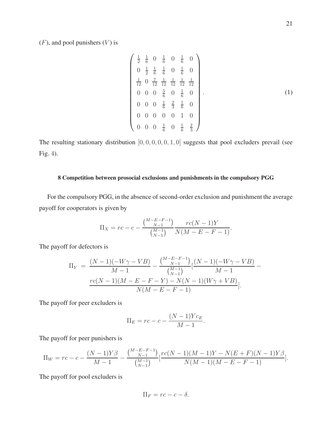$$
\begin{pmatrix}\n\frac{1}{2} & \frac{1}{6} & 0 & \frac{1}{6} & 0 & \frac{1}{6} & 0 \\
0 & \frac{1}{2} & \frac{1}{6} & \frac{1}{6} & 0 & \frac{1}{6} & 0 \\
\frac{1}{12} & 0 & \frac{7}{12} & \frac{1}{12} & \frac{1}{12} & \frac{1}{12} & \frac{1}{12} \\
0 & 0 & 0 & \frac{5}{6} & 0 & \frac{1}{6} & 0 \\
0 & 0 & 0 & \frac{1}{6} & \frac{2}{3} & \frac{1}{6} & 0 \\
0 & 0 & 0 & 0 & 1 & 0 \\
0 & 0 & 0 & \frac{1}{6} & 0 & \frac{1}{6} & \frac{2}{3}\n\end{pmatrix}
$$
\n(1)

The resulting stationary distribution  $[0, 0, 0, 0, 0, 1, 0]$  suggests that pool excluders prevail (see Fig. 4).

# 8 Competition between prosocial exclusions and punishments in the compulsory PGG

For the compulsory PGG, in the absence of second-order exclusion and punishment the average payoff for cooperators is given by

$$
\Pi_X = rc - c - \frac{\binom{M - E - F - 1}{N - 1}}{\binom{M - 1}{N - 1}} \frac{rc(N - 1)Y}{N(M - E - F - 1)}.
$$

The payoff for defectors is

$$
\Pi_Y = \frac{(N-1)(-W\gamma - VB)}{M-1} - \frac{\binom{M-E-F-1}{N-1}}{\binom{M-1}{N-1}} \left[ \frac{(N-1)(-W\gamma - VB)}{M-1} - \frac{rc(N-1)(M-E-F-Y) - N(N-1)(W\gamma + VB)}{N(M-E-F-1)} \right].
$$

The payoff for peer excluders is

$$
\Pi_E = rc - c - \frac{(N-1)Yc_E}{M-1}.
$$

The payoff for peer punishers is

$$
\Pi_W = rc - c - \frac{(N-1)Y\beta}{M-1} - \frac{\binom{M-E-F-1}{N-1}}{\binom{M-1}{N-1}} \left[ \frac{rc(N-1)(M-1)Y - N(E+F)(N-1)Y\beta}{N(M-1)(M-E-F-1)} \right].
$$

The payoff for pool excluders is

$$
\Pi_F = rc - c - \delta.
$$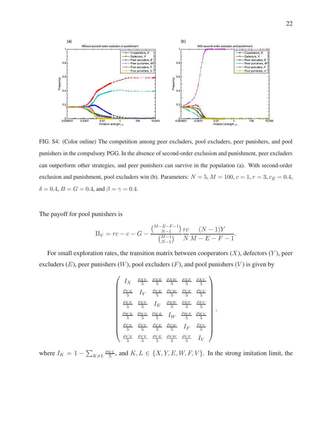

<span id="page-38-0"></span>FIG. S4: (Color online) The competition among peer excluders, pool excluders, peer punishers, and pool punishers in the compulsory PGG. In the absence of second-order exclusion and punishment, peer excluders can outperform other strategies, and peer punishers can survive in the population (a). With second-order exclusion and punishment, pool excluders win (b). Parameters:  $N = 5$ ,  $M = 100$ ,  $c = 1$ ,  $r = 3$ ,  $c_E = 0.4$ ,  $\delta = 0.4, B = G = 0.4,$  and  $\beta = \gamma = 0.4$ .

The payoff for pool punishers is

$$
\Pi_V = rc - c - G - \frac{\binom{M - E - F - 1}{N - 1}rc}{\binom{M - 1}{N - 1}} \frac{rc}{N} \frac{(N - 1)Y}{M - E - F - 1}.
$$

For small exploration rates, the transition matrix between cooperators  $(X)$ , defectors  $(Y)$ , peer excluders  $(E)$ , peer punishers  $(W)$ , pool excluders  $(F)$ , and pool punishers  $(V)$  is given by

$$
\left(\begin{array}{ccccc}I_X & \frac{\rho_{XY}}{5} & \frac{\rho_{XE}}{5} & \frac{\rho_{XW}}{5} & \frac{\rho_{XF}}{5} & \frac{\rho_{XV}}{5} \\ \frac{\rho_{YX}}{5} & I_Y & \frac{\rho_{YE}}{5} & \frac{\rho_{YW}}{5} & \frac{\rho_{YF}}{5} & \frac{\rho_{YV}}{5} \\ \frac{\rho_{EX}}{5} & \frac{\rho_{EY}}{5} & I_E & \frac{\rho_{EW}}{5} & \frac{\rho_{EF}}{5} & \frac{\rho_{EV}}{5} \\ \frac{\rho_{WX}}{5} & \frac{\rho_{WY}}{5} & \frac{\rho_{WE}}{5} & I_W & \frac{\rho_{WF}}{5} & \frac{\rho_{WV}}{5} \\ \frac{\rho_{FX}}{5} & \frac{\rho_{FY}}{5} & \frac{\rho_{FE}}{5} & \frac{\rho_{FW}}{5} & I_F & \frac{\rho_{FV}}{5} \\ \frac{\rho_{VX}}{5} & \frac{\rho_{VY}}{5} & \frac{\rho_{VE}}{5} & \frac{\rho_{VW}}{5} & \frac{\rho_{VF}}{5} & I_V \end{array}\right)
$$

,

where  $I_K = 1 - \sum_{K \neq L}$  $\rho_{KL}$  $\frac{KL}{5}$ , and  $K, L \in \{X, Y, E, W, F, V\}$ . In the strong imitation limit, the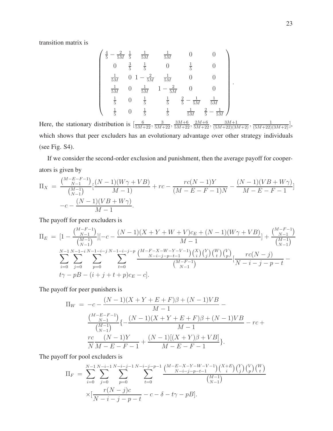transition matrix is

$$
\begin{pmatrix}\n\frac{4}{5} - \frac{2}{5M} & \frac{1}{5} & \frac{1}{5M} & \frac{1}{5M} & 0 & 0 \\
0 & \frac{3}{5} & \frac{1}{5} & 0 & \frac{1}{5} & 0 \\
\frac{1}{5M} & 0 & 1 - \frac{2}{5M} & \frac{1}{5M} & 0 & 0 \\
\frac{1}{5M} & 0 & \frac{1}{5M} & 1 - \frac{2}{5M} & 0 & 0 \\
\frac{1}{5} & 0 & \frac{1}{5} & \frac{1}{5} & \frac{2}{5} - \frac{1}{5M} & \frac{1}{5M} \\
\frac{1}{5} & 0 & \frac{1}{5} & \frac{1}{5} & \frac{1}{5M} & \frac{2}{5M} - \frac{1}{5M}\n\end{pmatrix}
$$
\n
$$
\text{listribution is } \left[\frac{6}{5M+22}, \frac{3}{5M+22}, \frac{3M+6}{5M+22}, \frac{2M+6}{5M+22}, \frac{3M+1}{(5M+22)(3M+2)}, \frac{1}{(5M+22)(3M+2)}\right],
$$

Here, the stationary d which shows that peer excluders has an evolutionary advantage over other strategy individuals (see Fig. S4).

If we consider the second-order exclusion and punishment, then the average payoff for cooperators is given by

$$
\Pi_X = \frac{\binom{M-E-F-1}{N-1}}{\binom{M-1}{N-1}} \left[ \frac{(N-1)(W\gamma + VB)}{M-1} + rc - \frac{rc(N-1)Y}{(M-E-F-1)N} - \frac{(N-1)(VB+W\gamma)}{M-E-F-1} \right] - c - \frac{(N-1)(VB+W\gamma)}{M-1}.
$$

The payoff for peer excluders is

$$
\Pi_E = \left[1 - \frac{\binom{M-F-1}{N-1}}{\binom{M-1}{N-1}}\right] [-c - \frac{(N-1)(X+Y+W+V)c_E + (N-1)(W\gamma+VB)}{M-1}] + \frac{\binom{M-F-1}{N-1}}{\binom{M-1}{N-1}} \n\sum_{i=0}^{N-1} \sum_{j=0}^{N-1-i} \sum_{p=0}^{N-1-i-j} \sum_{t=0}^{N-1-i-j-p} \frac{\binom{M-F-X-W-Y-V-1}{N-i-j-p-t-1} \binom{X}{i} \binom{Y}{j} \binom{W}{t} \binom{V}{p}}{\binom{N-i-j-p-t-1}{N-i-j-p-t}} \n\text{tr}\gamma - pB - (i+j+t+p)c_E - c].
$$

The payoff for peer punishers is

$$
\Pi_W = -c - \frac{(N-1)(X+Y+E+F)\beta + (N-1)VB}{M-1} - \frac{\left(\frac{M-E-F-1}{N-1}\right)\left\{-\frac{(N-1)(X+Y+E+F)\beta + (N-1)VB}{M-1} - rc + \frac{rc - (N-1)Y}{N-M-E-F-1} + \frac{(N-1)[(X+Y)\beta + VB}{M-E-F-1}\right\}}.
$$

The payoff for pool excluders is

$$
\Pi_F = \sum_{i=0}^{N-1} \sum_{j=0}^{N-i-1} \sum_{p=0}^{N-i-j-1} \sum_{t=0}^{N-i-j-p-1} \frac{\binom{M-E-X-Y-W-V-1}{N-i-j-p-t-1} \binom{X+E}{i} \binom{Y}{j} \binom{W}{p} \binom{W}{t}}{\binom{Y}{N-1}} \times [\frac{r(N-j)c}{N-i-j-p-t} - c - \delta - t\gamma - pB].
$$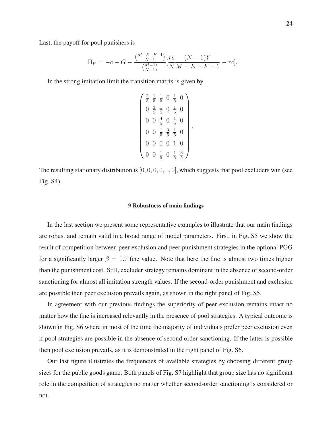Last, the payoff for pool punishers is

$$
\Pi_V = -c - G - \frac{\binom{M - E - F - 1}{N - 1}}{\binom{M - 1}{N - 1}} \left[ \frac{rc}{N} \frac{(N - 1)Y}{M - E - F - 1} - rc \right].
$$

In the strong imitation limit the transition matrix is given by

| $\frac{2}{5}$  | $\frac{1}{5}$  | $\frac{1}{5}$ | $\theta$       | $\frac{1}{5}$ | 0              |
|----------------|----------------|---------------|----------------|---------------|----------------|
| $\overline{0}$ | $\frac{3}{5}$  | $\frac{1}{5}$ | $\overline{0}$ | $\frac{1}{5}$ | $\overline{0}$ |
| $\overline{0}$ | $\overline{0}$ | $\frac{4}{5}$ | $\overline{0}$ | $\frac{1}{5}$ | 0              |
| $\overline{0}$ | $\overline{0}$ | $\frac{1}{5}$ | $\frac{3}{5}$  | $\frac{1}{5}$ | 0              |
| $\overline{0}$ | 0              | 0             | 0              |               | 0              |
|                | 0              | $\frac{1}{5}$ | $\overline{0}$ | $\frac{1}{5}$ | $\frac{3}{5}$  |

.

The resulting stationary distribution is  $[0, 0, 0, 0, 1, 0]$ , which suggests that pool excluders win (see Fig. S4).

### 9 Robustness of main findings

In the last section we present some representative examples to illustrate that our main findings are robust and remain valid in a broad range of model parameters. First, in Fig. S5 we show the result of competition between peer exclusion and peer punishment strategies in the optional PGG for a significantly larger  $\beta = 0.7$  fine value. Note that here the fine is almost two times higher than the punishment cost. Still, excluder strategy remains dominant in the absence of second-order sanctioning for almost all imitation strength values. If the second-order punishment and exclusion are possible then peer exclusion prevails again, as shown in the right panel of Fig. S5.

In agreement with our previous findings the superiority of peer exclusion remains intact no matter how the fine is increased relevantly in the presence of pool strategies. A typical outcome is shown in Fig. S6 where in most of the time the majority of individuals prefer peer exclusion even if pool strategies are possible in the absence of second order sanctioning. If the latter is possible then pool exclusion prevails, as it is demonstrated in the right panel of Fig. S6.

Our last figure illustrates the frequencies of available strategies by choosing different group sizes for the public goods game. Both panels of Fig. S7 highlight that group size has no significant role in the competition of strategies no matter whether second-order sanctioning is considered or not.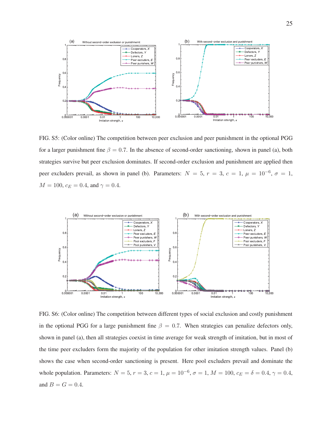

FIG. S5: (Color online) The competition between peer exclusion and peer punishment in the optional PGG for a larger punishment fine  $\beta = 0.7$ . In the absence of second-order sanctioning, shown in panel (a), both strategies survive but peer exclusion dominates. If second-order exclusion and punishment are applied then peer excluders prevail, as shown in panel (b). Parameters:  $N = 5$ ,  $r = 3$ ,  $c = 1$ ,  $\mu = 10^{-6}$ ,  $\sigma = 1$ ,  $M = 100$ ,  $c_E = 0.4$ , and  $\gamma = 0.4$ .



FIG. S6: (Color online) The competition between different types of social exclusion and costly punishment in the optional PGG for a large punishment fine  $\beta = 0.7$ . When strategies can penalize defectors only, shown in panel (a), then all strategies coexist in time average for weak strength of imitation, but in most of the time peer excluders form the majority of the population for other imitation strength values. Panel (b) shows the case when second-order sanctioning is present. Here pool excluders prevail and dominate the whole population. Parameters:  $N = 5$ ,  $r = 3$ ,  $c = 1$ ,  $\mu = 10^{-6}$ ,  $\sigma = 1$ ,  $M = 100$ ,  $c_E = \delta = 0.4$ ,  $\gamma = 0.4$ , and  $B = G = 0.4$ .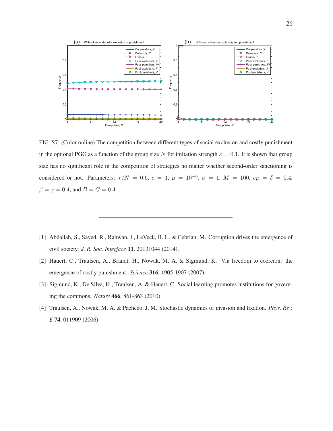

FIG. S7: (Color online) The competition between different types of social exclusion and costly punishment in the optional PGG as a function of the group size N for imitation strength  $\kappa = 0.1$ . It is shown that group size has no significant role in the competition of strategies no matter whether second-order sanctioning is considered or not. Parameters:  $r/N = 0.6$ ,  $c = 1$ ,  $\mu = 10^{-6}$ ,  $\sigma = 1$ ,  $M = 100$ ,  $c_E = \delta = 0.4$ ,  $\beta = \gamma = 0.4$ , and  $B = G = 0.4$ .

- <span id="page-42-1"></span>[1] Abdallah, S., Sayed, R., Rahwan, I., LeVeck, B. L. & Cebrian, M. Corruption drives the emergence of civil society. *J. R. Soc. Interface* 11, 20131044 (2014).
- <span id="page-42-0"></span>[2] Hauert, C., Traulsen, A., Brandt, H., Nowak, M. A. & Sigmund, K. Via freedom to coercion: the emergence of costly punishment. *Science* 316, 1905-1907 (2007).
- [3] Sigmund, K., De Silva, H., Traulsen, A. & Hauert, C. Social learning promotes institutions for governing the commons. *Nature* 466, 861-863 (2010).
- <span id="page-42-2"></span>[4] Traulsen, A., Nowak, M. A. & Pacheco, J. M. Stochastic dynamics of invasion and fixation. *Phys. Rev. E* 74, 011909 (2006).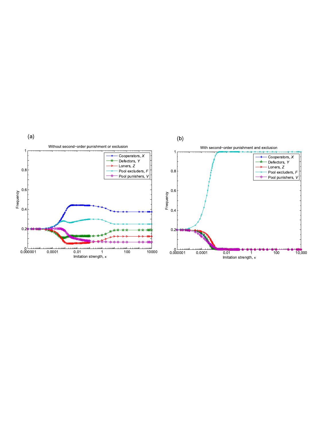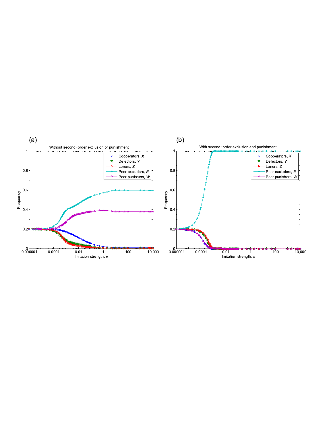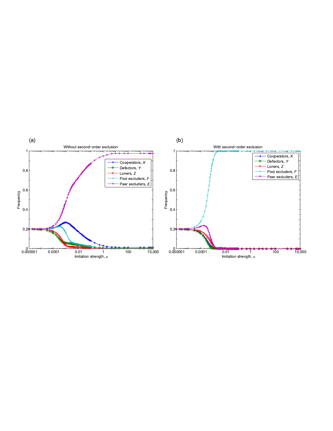